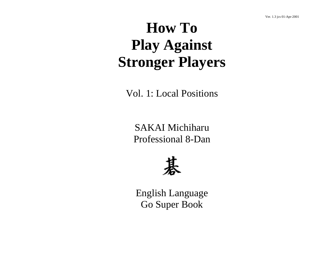# **How To Play Against Stronger Players**

Vol. 1: Local Positions

SAKAI Michiharu Professional 8-Dan



English Language Go Super Book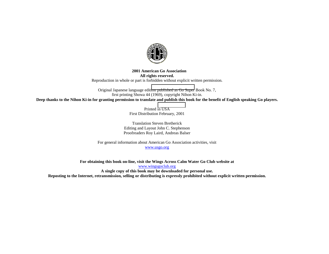

#### **2001 American Go Association All rights reserved.**  Reproduction in whole or part is forbidden without explicit written permission.

Original Japanese language edit[ion](http://www.wingsgoclub.org/) [published](http://www.wingsgoclub.org/) [as](http://www.wingsgoclub.org/) [Go](http://www.wingsgoclub.org/) [Super](http://www.wingsgoclub.org/) Book No. 7, first printing Showa 44 (1969), copyright Nihon Ki-in. **Deep thanks to the Nihon Ki-in for granting permission to translate and publish this book for the benefit of English speaking Go players.** 

> Printed in USA First Distribution February, 2001

Translation Steven Bretherick Editing and Layout John C. Stephenson Proofreaders Roy Laird, Andreas Balser

For general information about American Go Association activities, visit www.usgo.org

**For obtaining this book on-line, visit the Wings Across Calm Water Go Club website at**  www.wingsgoclub.org **A single copy of this book may be downloaded for personal use. Reposting to the Internet, retransmission, selling or distributing is expressly prohibited without explicit written permission.**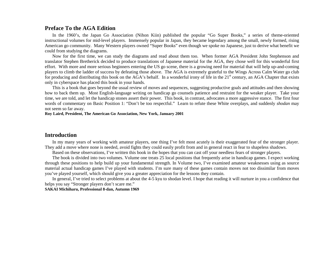# **Preface To the AGA Edition**

In the 1960's, the Japan Go Association (Nihon Kiin) published the popular "Go Super Books," a series of theme-oriented instructional volumes for mid-level players. Immensely popular in Japan, they became legendary among the small, newly formed, rising American go community. Many Western players owned "Super Books" even though we spoke no Japanese, just to derive what benefit we could from studying the diagrams.

Now for the first time, we can study the diagrams and read about them too. When former AGA President John Stephenson and translator Stephen Bretherick decided to produce translations of Japanese material for the AGA, they chose well for this wonderful first effort. With more and more serious beginners entering the US go scene, there is a growing need for material that will help up-and-coming players to climb the ladder of success by defeating those above. The AGA is extremely grateful to the Wings Across Calm Water go club for producing and distributing this book on the AGA's behalf. In a wonderful irony of life in the 21<sup>st</sup> century, an AGA Chapter that exists only in cyberspace has placed this book in your hands.

This is a book that goes beyond the usual review of moves and sequences, suggesting productive goals and attitudes and then showing how to back them up. Most English-language writing on handicap go counsels patience and restraint for the weaker player. Take your time, we are told, and let the handicap stones assert their power. This book, in contrast, advocates a more aggressive stance. The first four words of commentary on Basic Position 1: "Don't be too respectful." Learn to refute these White overplays, and suddenly *shodan* may not seem so far away.

#### **Roy Laird, President, The American Go Association, New York, January 2001**

# **Introduction**

In my many years of working with amateur players, one thing I've felt most acutely is their exaggerated fear of the stronger player. They add a move where none is needed, avoid fights they could easily profit from and in general react in fear to shapeless shadows.

Based on these observations, I've written this book in the hopes that you can cast off your needless fears of stronger players.

The book is divided into two volumes. Volume one treats 25 local positions that frequently arise in handicap games. I expect working through these positions to help build up your fundamental strength. In Volume two, I've examined amateur weaknesses using as source material actual handicap games I've played with students. I'm sure many of these games contain moves not too dissimilar from moves you've played yourself, which should give you a greater appreciation for the lessons they contain.

In general, I've tried to select problems at about the 4-5 kyu to shodan level. I hope that reading it will nurture in you a confidence that helps you say "Stronger players don't scare me."

#### **SAKAI Michiharu, Professional 8-dan, Autumn 1969**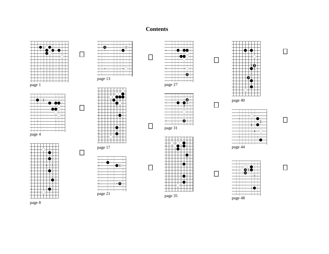# **Contents**







**1**

**1**

page 17

 $\top$ 

 $\frac{1}{\text{page 21}}$ 



![](_page_3_Figure_5.jpeg)

![](_page_3_Figure_6.jpeg)

![](_page_3_Figure_7.jpeg)

![](_page_3_Figure_8.jpeg)

| page 44 |  |  |  |  |  |
|---------|--|--|--|--|--|

![](_page_3_Figure_10.jpeg)

![](_page_3_Figure_11.jpeg)

![](_page_3_Figure_12.jpeg)

![](_page_3_Figure_13.jpeg)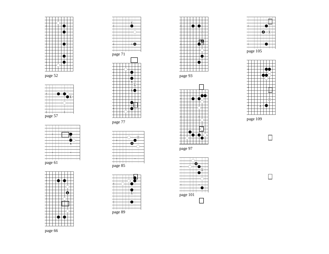![](_page_4_Figure_1.jpeg)

**1**

**1**

**1a**

page 52

daharahasi dan dan dan dan dan dan bagi dan dan bagi dan dan dan dan bagi dan dan dan dan bagi dan dan dan dan

page 57

| page 89 |  |  |  |  |
|---------|--|--|--|--|

| page 85 |  |  |  |
|---------|--|--|--|
|         |  |  |  |

Ŧ

![](_page_4_Figure_6.jpeg)

| page 101 |  |  |
|----------|--|--|

page 97

page 93

|  |  | 3<br>Þ |  |
|--|--|--------|--|
|  |  |        |  |
|  |  |        |  |
|  |  |        |  |
|  |  |        |  |
|  |  |        |  |
|  |  |        |  |
|  |  |        |  |
|  |  |        |  |
|  |  |        |  |
|  |  |        |  |
|  |  |        |  |
|  |  |        |  |
|  |  |        |  |
|  |  |        |  |
|  |  |        |  |
|  |  |        |  |
|  |  |        |  |
|  |  |        |  |

|  |  | page 105 |  |  |  |
|--|--|----------|--|--|--|

| Ζ |  |  |  |  |
|---|--|--|--|--|

page 109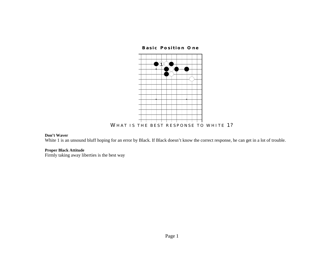**Basic Position One** 

![](_page_6_Figure_1.jpeg)

#### **Don't Waver**

White 1 is an unsound bluff hoping for an error by Black. If Black doesn't know the correct response, he can get in a lot of trouble.

# **Proper Black Attitude**

Firmly taking away liberties is the best way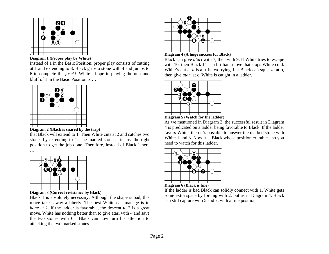![](_page_7_Figure_0.jpeg)

![](_page_7_Figure_1.jpeg)

Instead of 1 in the Basic Position, proper play consists of cutting at 1 and extending to 3. Black grips a stone with 4 and jumps to 6 to complete the *joseki*. White's hope in playing the unsound bluff of 1 in the Basic Position is …

![](_page_7_Picture_3.jpeg)

# **Diagram 2 (Black is snared by the trap)**

that Black will extend to 1. Then White cuts at 2 and catches two stones by extending to 4. The marked stone is in just the right position to get the job done. Therefore, instead of Black 1 here

![](_page_7_Figure_6.jpeg)

…

![](_page_7_Figure_7.jpeg)

Black 1 is absolutely necessary. Although the shape is bad, this move takes away a liberty. The best White can manage is to *hane* at 2. If the ladder is favorable, the descent to 3 is a great move. White has nothing better than to give atari with 4 and save the two stones with 6. Black can now turn his attention to attacking the two marked stones

![](_page_7_Figure_9.jpeg)

# **Diagram 4 (A huge success for Black)**

Black can give *atari* with 7, then with 9. If White tries to escape with 10, then Black 11 is a brilliant move that stops White cold. White's cut at *a* is a trifle worrying, but Black can squeeze at b, then give *atari* at c. White is caught in a ladder.

![](_page_7_Picture_12.jpeg)

![](_page_7_Figure_13.jpeg)

As we mentioned in Diagram 3, the successful result in Diagram 4 is predicated on a ladder being favorable to Black. If the ladder favors White, then it's possible to answer the marked stone with White 1 and 3. Now it is Black whose position crumbles, so you need to watch for this ladder.

![](_page_7_Picture_15.jpeg)

![](_page_7_Figure_16.jpeg)

If the ladder is bad Black can solidly connect with 1. White gets some extra space by forcing with 2, but as in Diagram 4, Black can still capture with 5 and 7, with a fine position.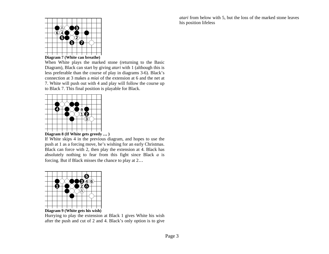*atari* from below with 5, but the loss of the marked stone leaves his position lifeless

![](_page_8_Figure_1.jpeg)

**Diagram 7 (White can breathe)** 

When White plays the marked stone (returning to the Basic Diagram), Black can start by giving *atari* with 1 (although this is less preferable than the course of play in diagrams 3-6). Black's connection at 3 makes a *miai* of the extension at 6 and the net at 7. White will push out with 4 and play will follow the course up to Black 7. This final position is playable for Black.

![](_page_8_Figure_4.jpeg)

**Diagram 8 (If White gets greedy** … **)** 

If White skips 4 in the previous diagram, and hopes to use the push at 1 as a forcing move, he's wishing for an early Christmas. Black can force with 2, then play the extension at 4. Black has absolutely nothing to fear from this fight since Black *a* is forcing. But if Black misses the chance to play at 2…

![](_page_8_Figure_7.jpeg)

#### **Diagram 9 (White gets his wish)**

Hurrying to play the extension at Black 1 gives White his wish after the push and cut of 2 and 4. Black's only option is to give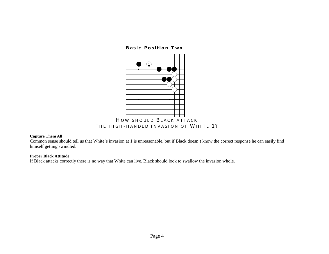![](_page_9_Figure_0.jpeg)

## **Capture Them All**

Common sense should tell us that White's invasion at 1 is unreasonable, but if Black doesn't know the correct response he can easily find himself getting swindled.

#### **Proper Black Attitude**

If Black attacks correctly there is no way that White can live. Black should look to swallow the invasion whole.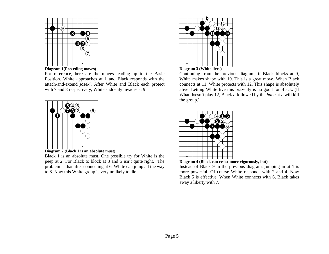![](_page_10_Figure_0.jpeg)

![](_page_10_Figure_1.jpeg)

For reference, here are the moves leading up to the Basic Position. White approaches at 1 and Black responds with the attach-and-extend *joseki*. After White and Black each protect with 7 and 8 respectively, White suddenly invades at 9.

![](_page_10_Figure_3.jpeg)

![](_page_10_Figure_4.jpeg)

Black 1 is an absolute must. One possible try for White is the peep at 2. For Black to block at 3 and 5 isn't quite right. The problem is that after connecting at 6, White can jump all the way to 8. Now this White group is very unlikely to die.

![](_page_10_Figure_6.jpeg)

Continuing from the previous diagram, if Black blocks at 9, White makes shape with 10. This is a great move. When Black connects at 11, White protects with 12. This shape is absolutely alive. Letting White live this brazenly is no good for Black. (If What doesn't play 12, Black *a* followed by the *hane* at *b* will kill the group.)

![](_page_10_Figure_8.jpeg)

![](_page_10_Figure_9.jpeg)

Instead of Black 9 in the previous diagram, jumping in at 1 is more powerful. Of course White responds with 2 and 4. Now Black 5 is effective. When White connects with 6, Black takes away a liberty with 7.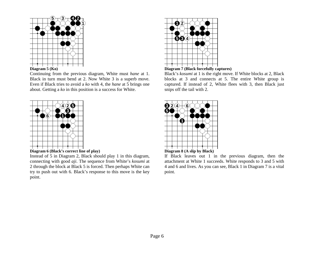![](_page_11_Figure_0.jpeg)

# $\frac{1}{\text{Diagram}}$   $\frac{1}{\text{S}}$  (Ko)

Continuing from the previous diagram, White must *hane* at 1. Black in turn must bend at 2. Now White 3 is a superb move. Even if Black tries to avoid a *ko* with 4, the *hane* at 5 brings one about. Getting a *ko* in this position is a success for White.

![](_page_11_Figure_3.jpeg)

![](_page_11_Figure_4.jpeg)

Instead of 5 in Diagram 2, Black should play 1 in this diagram, connecting with good *aji*. The sequence from White's *kosumi* at 2 through the block at Black 5 is forced. Then perhaps White can try to push out with 6. Black's response to this move is the key point.

![](_page_11_Figure_6.jpeg)

**Diagram 7 (Black forcefully captures)** 

Black's *kosumi* at 1 is the right move. If White blocks at 2, Black blocks at 3 and connects at 5. The entire White group is captured. If instead of 2, White flees with 3, then Black just snips off the tail with 2.

![](_page_11_Figure_9.jpeg)

If Black leaves out 1 in the previous diagram, then the attachment at White 1 succeeds. White responds to 3 and 5 with 4 and 6 and lives. As you can see, Black 1 in Diagram 7 is a vital point.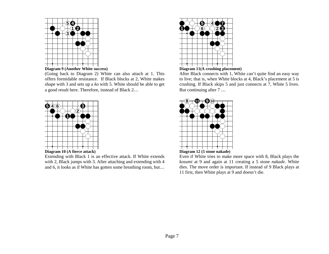![](_page_12_Figure_0.jpeg)

![](_page_12_Figure_1.jpeg)

(Going back to Diagram 2) White can also attach at 1. This offers formidable resistance. If Black blocks at 2, White makes shape with 3 and sets up a *ko* with 5. White should be able to get a good result here. Therefore, instead of Black 2…

![](_page_12_Figure_3.jpeg)

**Diagram 10 (A fierce attack)** 

Extending with Black 1 is an effective attack. If White extends with 2, Black jumps with 3. After attaching and extending with 4 and 6, it looks as if White has gotten some breathing room, but…

![](_page_12_Figure_6.jpeg)

**Diagram 11(A crushing placement)** 

After Black connects with 1, White can't quite find an easy way to live; that is, when White blocks at 4, Black's placement at 5 is crushing. If Black skips 5 and just connects at 7, White 5 lives. But continuing after 7 …

![](_page_12_Figure_9.jpeg)

Even if White tries to make more space with 8, Black plays the *kosumi* at 9 and again at 11 creating a 5 stone *nakade*. White dies. The move order is important. If instead of 9 Black plays at 11 first, then White plays at 9 and doesn't die.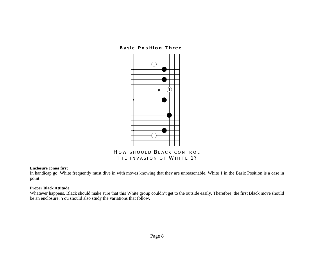## **Basic Position Three**

![](_page_13_Figure_1.jpeg)

# **H OW SHOULD B LACK CONTROL THE INVASION OF WHITE 1?**

#### **Enclosure comes first**

In handicap go, White frequently must dive in with moves knowing that they are unreasonable. White 1 in the Basic Position is a case in point.

# **Proper Black Attitude**

Whatever happens, Black should make sure that this White group couldn't get to the outside easily. Therefore, the first Black move should be an enclosure. You should also study the variations that follow.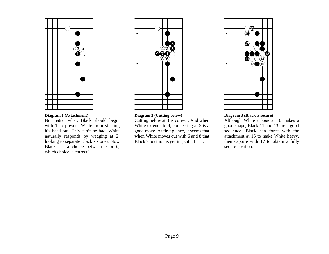![](_page_14_Figure_0.jpeg)

## **Diagram 1 (Attachment)**

No matter what, Black should begin with 1 to prevent White from sticking his head out. This can't be bad. White naturally responds by wedging at 2, looking to separate Black's stones. Now Black has a choice between *a* or *b*; which choice is correct?

![](_page_14_Figure_3.jpeg)

#### **Diagram 2 (Cutting below)**

Cutting below at 3 is correct. And when White extends to 4, connecting at 5 is a good move. At first glance, it seems that when White moves out with 6 and 8 that Black's position is getting split, but …

![](_page_14_Figure_6.jpeg)

## **Diagram 3 (Black is secure)**

Although White's *hane* at 10 makes a good shape, Black 11 and 13 are a good sequence. Black can force with the attachment at 15 to make White heavy, then capture with 17 to obtain a fully secure position.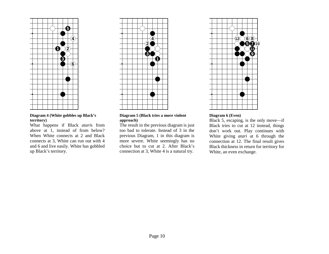![](_page_15_Figure_0.jpeg)

**Diagram 4 (White gobbles up Black's territory)** 

What happens if Black *atari*s from above at 1, instead of from below? When White connects at 2 and Black connects at 3, White can run out with 4 and 6 and live easily. White has gobbled up Black's territory.

![](_page_15_Figure_3.jpeg)

**Diagram 5 (Black tries a more violent approach)** 

The result in the previous diagram is just too bad to tolerate. Instead of 3 in the previous Diagram, 1 in this diagram is more severe. White seemingly has no choice but to cut at 2. After Black's connection at 3, White 4 is a natural try.

![](_page_15_Figure_6.jpeg)

# **Diagram 6 (Even)**

Black 5, escaping, is the only move—if Black tries to cut at 12 instead, things don't work out. Play continues with White giving *atari* at 6 through the connection at 12. The final result gives Black thickness in return for territory for White, an even exchange.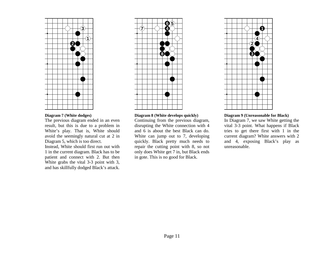![](_page_16_Figure_0.jpeg)

# **Diagram 7 (White dodges)**

The previous diagram ended in an even result, but this is due to a problem in White's play. That is, White should avoid the seemingly natural cut at 2 in Diagram 5, which is too direct.

Instead, White should first run out with 1 in the current diagram. Black has to be patient and connect with 2. But then White grabs the vital 3-3 point with 3, and has skillfully dodged Black's attack.

![](_page_16_Figure_4.jpeg)

#### **Diagram 8 (White develops quickly)**

Continuing from the previous diagram, disrupting the White connection with 4 and 6 is about the best Black can do. White can jump out to 7, developing quickly. Black pretty much needs to repair the cutting point with 8, so not only does White get 7 in, but Black ends in gote. This is no good for Black.

![](_page_16_Figure_7.jpeg)

#### **Diagram 9 (Unreasonable for Black)**

In Diagram 7, we saw White getting the vital 3-3 point. What happens if Black tries to get there first with 1 in the current diagram? White answers with 2 and 4, exposing Black's play as unreasonable.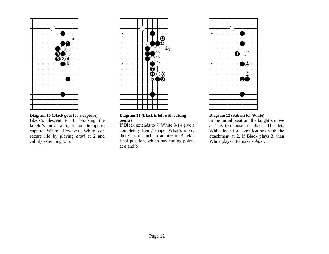![](_page_17_Figure_0.jpeg)

# **Diagram 10 (Black goes for a capture)**

Black's descent to 1, blocking the knight's move at *a,* is an attempt to capture White. However, White can secure life by playing *atari* at 2 and calmly extending to 6.

![](_page_17_Figure_3.jpeg)

#### **Diagram 11 (Black is left with cutting points)**

If Black extends to 7, White 8-14 give a completely living shape. What's more, there's not much to admire in Black's final position, which has cutting points at *a* and b.

![](_page_17_Figure_6.jpeg)

## **Diagram 12 (Sabaki for White)**

In the initial position, the knight's move at 1 is too loose for Black. This lets White look for complications with the attachment at 2. If Black plays 3, then White plays 4 to make *sabaki*.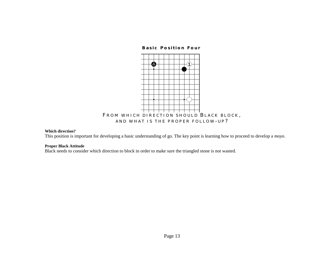**Basic Position Four** 

![](_page_18_Figure_1.jpeg)

#### **Which direction?**

This position is important for developing a basic understanding of go. The key point is learning how to proceed to develop a *moyo*.

#### **Proper Black Attitude**

Black needs to consider which direction to block in order to make sure the triangled stone is not wasted.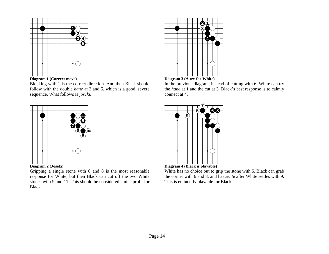![](_page_19_Figure_0.jpeg)

![](_page_19_Figure_1.jpeg)

Blocking with 1 is the correct direction. And then Black should follow with the double *hane* at 3 and 5, which is a good, severe sequence. What follows is *joseki*.

![](_page_19_Figure_3.jpeg)

Gripping a single stone with 6 and 8 is the most reasonable response for White, but then Black can cut off the two White stones with 9 and 11. This should be considered a nice profit for Black.

![](_page_19_Figure_5.jpeg)

![](_page_19_Figure_6.jpeg)

In the previous diagram, instead of cutting with 6, White can try the *hane* at 1 and the cut at 3. Black's best response is to calmly connect at 4.

![](_page_19_Figure_8.jpeg)

![](_page_19_Figure_9.jpeg)

White has no choice but to grip the stone with 5. Black can grab the corner with 6 and 8, and has *sente* after White settles with 9. This is eminently playable for Black.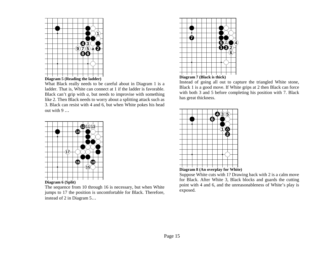![](_page_20_Figure_0.jpeg)

![](_page_20_Figure_1.jpeg)

What Black really needs to be careful about in Diagram 1 is a ladder. That is, White can connect at 1 if the ladder is favorable. Black can't grip with *a,* but needs to improvise with something like 2. Then Black needs to worry about a splitting attack such as 3. Black can resist with 4 and 6, but when White pokes his head out with 9 …

![](_page_20_Figure_3.jpeg)

The sequence from 10 through 16 is necessary, but when White jumps to 17 the position is uncomfortable for Black. Therefore,

instead of 2 in Diagram 5…

![](_page_20_Figure_6.jpeg)

![](_page_20_Figure_7.jpeg)

Instead of going all out to capture the triangled White stone, Black 1 is a good move. If White grips at 2 then Black can force with both 3 and 5 before completing his position with 7. Black has great thickness.

![](_page_20_Figure_9.jpeg)

Suppose White cuts with 1? Drawing back with 2 is a calm move for Black. After White 3, Black blocks and guards the cutting point with 4 and 6, and the unreasonableness of White's play is exposed.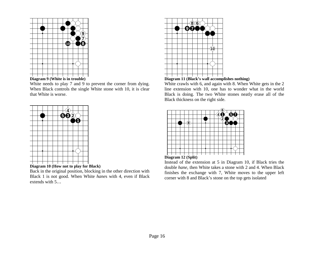![](_page_21_Figure_0.jpeg)

![](_page_21_Figure_1.jpeg)

White needs to play 7 and 9 to prevent the corner from dying. When Black controls the single White stone with 10, it is clear that White is worse.

![](_page_21_Figure_3.jpeg)

![](_page_21_Figure_4.jpeg)

Back in the original position, blocking in the other direction with Black 1 is not good. When White *hane*s with 4, even if Black extends with 5…

![](_page_21_Figure_6.jpeg)

# **Diagram 11 (Black's wall accomplishes nothing)**

White crawls with 6, and again with 8. When White gets in the 2 line extension with 10, one has to wonder what in the world Black is doing. The two White stones neatly erase all of the Black thickness on the right side.

![](_page_21_Figure_9.jpeg)

![](_page_21_Figure_10.jpeg)

Instead of the extension at 5 in Diagram 10, if Black tries the double *hane*, then White takes a stone with 2 and 4. When Black finishes the exchange with 7, White moves to the upper left corner with 8 and Black's stone on the top gets isolated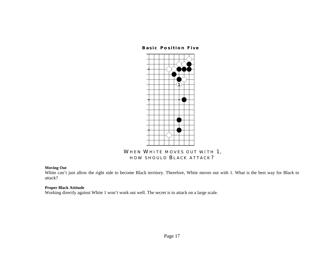# **Basic Position Five**

![](_page_22_Figure_1.jpeg)

# WHEN WHITE MOVES OUT WITH 1, **HOW SHOULD B LACK ATTACK ?**

#### **Moving Out**

White can't just allow the right side to become Black territory. Therefore, White moves out with 1. What is the best way for Black to attack?

# **Proper Black Attitude**

Working directly against White 1 won't work out well. The secret is to attack on a large scale.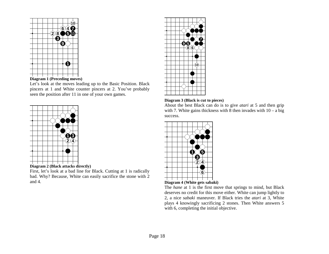![](_page_23_Figure_0.jpeg)

**Diagram 1 (Preceding moves)** 

Let's look at the moves leading up to the Basic Position. Black pincers at 1 and White counter pincers at 2. You've probably seen the position after 11 in one of your own games.

![](_page_23_Figure_3.jpeg)

![](_page_23_Figure_4.jpeg)

First, let's look at a bad line for Black. Cutting at 1 is radically bad. Why? Because, White can easily sacrifice the stone with 2 and 4.

![](_page_23_Figure_6.jpeg)

# **Diagram 3 (Black is cut to pieces)**

About the best Black can do is to give *atari* at 5 and then grip with 7. White gains thickness with 8 then invades with  $10 - a$  big success.

![](_page_23_Figure_9.jpeg)

![](_page_23_Figure_10.jpeg)

The *hane* at 1 is the first move that springs to mind, but Black deserves no credit for this move either. White can jump lightly to 2, a nice *sabaki* maneuver. If Black tries the *atari* at 3, White plays 4 knowingly sacrificing 2 stones. Then White answers 5 with 6, completing the initial objective.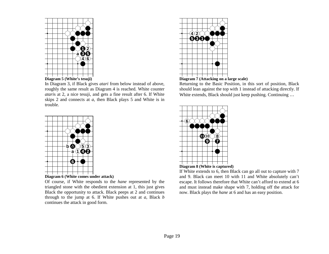![](_page_24_Figure_0.jpeg)

In Diagram 3, if Black gives *atari* from below instead of above, roughly the same result as Diagram 4 is reached. White counter *atari*s at 2, a nice tesuji, and gets a fine result after 6. If White skips 2 and connects at *a,* then Black plays 5 and White is in trouble.

![](_page_24_Figure_2.jpeg)

Of course, if White responds to the *hane* represented by the triangled stone with the obedient extension at 1, this just gives Black the opportunity to attack. Black peeps at 2 and continues through to the jump at 6. If White pushes out at *a,* Black *b*  continues the attack in good form.

![](_page_24_Figure_4.jpeg)

**Diagram 7 (Attacking on a large scale)** 

Returning to the Basic Position, in this sort of position, Black should lean against the top with 1 instead of attacking directly. If White extends, Black should just keep pushing. Continuing ...

![](_page_24_Figure_7.jpeg)

![](_page_24_Figure_8.jpeg)

If White extends to 6, then Black can go all out to capture with 7 and 9. Black can meet 10 with 11 and White absolutely can't escape. It follows therefore that White can't afford to extend at 6 and must instead make shape with 7, holding off the attack for now. Black plays the *hane* at 6 and has an easy position.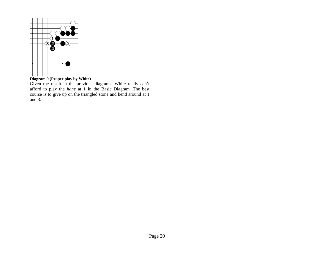![](_page_25_Figure_0.jpeg)

**Diagram 9 (Proper play by White)** 

Given the result in the previous diagrams, White really can't afford to play the *hane* at 1 in the Basic Diagram. The best course is to give up on the triangled stone and bend around at 1 and 3.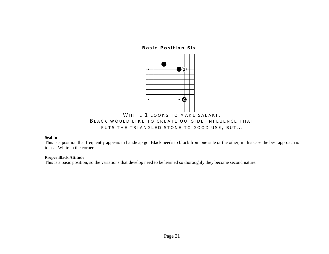**Basic Position Six** 

![](_page_26_Figure_1.jpeg)

# **Seal In**

This is a position that frequently appears in handicap go. Black needs to block from one side or the other; in this case the best approach is to seal White in the corner.

## **Proper Black Attitude**

This is a basic position, so the variations that develop need to be learned so thoroughly they become second nature.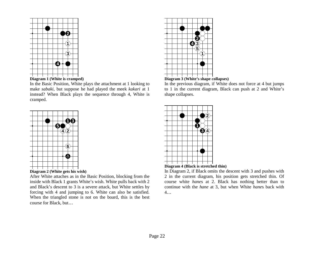![](_page_27_Figure_0.jpeg)

![](_page_27_Figure_1.jpeg)

In the Basic Position, White plays the attachment at 1 looking to make *sabaki*, but suppose he had played the meek *kakari* at 1 instead? When Black plays the sequence through 4, White is cramped.

![](_page_27_Figure_3.jpeg)

![](_page_27_Figure_4.jpeg)

After White attaches as in the Basic Position, blocking from the inside with Black 1 grants White's wish. White pulls back with 2 and Black's descent to 3 is a severe attack, but White settles by forcing with 4 and jumping to 6. White can also be satisfied. When the triangled stone is not on the board, this is the best course for Black, but…

![](_page_27_Figure_6.jpeg)

![](_page_27_Figure_7.jpeg)

In the previous diagram, if White does not force at 4 but jumps to 1 in the current diagram, Black can push at 2 and White's shape collapses.

![](_page_27_Figure_9.jpeg)

![](_page_27_Figure_10.jpeg)

In Diagram 2, if Black omits the descent with 3 and pushes with 2 in the current diagram, his position gets stretched thin. Of course white *hane*s at 2. Black has nothing better than to continue with the *hane* at 3, but when White *hane*s back with 4…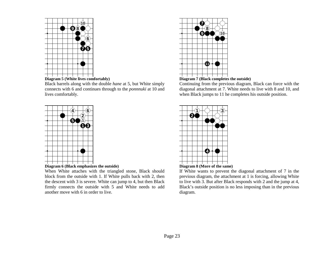![](_page_28_Figure_0.jpeg)

![](_page_28_Figure_1.jpeg)

Black barrels along with the double *hane* at 5, but White simply connects with 6 and continues through to the *ponnnuki* at 10 and lives comfortably.

![](_page_28_Figure_3.jpeg)

![](_page_28_Figure_4.jpeg)

When White attaches with the triangled stone, Black should block from the outside with 1. If White pulls back with 2, then the descent with 3 is severe. White can jump to 4, but then Black firmly connects the outside with 5 and White needs to add another move with 6 in order to live.

![](_page_28_Figure_6.jpeg)

![](_page_28_Figure_7.jpeg)

Continuing from the previous diagram, Black can force with the diagonal attachment at 7. White needs to live with 8 and 10, and when Black jumps to 11 he completes his outside position.

![](_page_28_Figure_9.jpeg)

![](_page_28_Figure_10.jpeg)

If White wants to prevent the diagonal attachment of 7 in the previous diagram, the attachment at 1 is forcing, allowing White to live with 3. But after Black responds with 2 and the jump at 4, Black's outside position is no less imposing than in the previous diagram.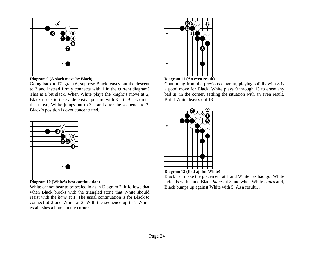![](_page_29_Figure_0.jpeg)

![](_page_29_Figure_1.jpeg)

Going back to Diagram 6, suppose Black leaves out the descent to 3 and instead firmly connects with 1 in the current diagram? This is a bit slack. When White plays the knight's move at 2, Black needs to take a defensive posture with  $3 -$  if Black omits this move, White jumps out to  $3$  – and after the sequence to 7, Black's position is over concentrated.

![](_page_29_Figure_3.jpeg)

**Diagram 10 (White's best continuation)** 

White cannot bear to be sealed in as in Diagram 7. It follows that when Black blocks with the triangled stone that White should resist with the *hane* at 1. The usual continuation is for Black to connect at 2 and White at 3. With the sequence up to 7 White establishes a home in the corner.

![](_page_29_Figure_6.jpeg)

![](_page_29_Figure_7.jpeg)

Continuing from the previous diagram, playing solidly with 8 is a good move for Black. White plays 9 through 13 to erase any bad *aji* in the corner, settling the situation with an even result. But if White leaves out 13

![](_page_29_Figure_9.jpeg)

![](_page_29_Figure_10.jpeg)

Black can make the placement at 1 and White has bad *aji*. White defends with 2 and Black *hane*s at 3 and when White *hane*s at 4, Black bumps up against White with 5. As a result…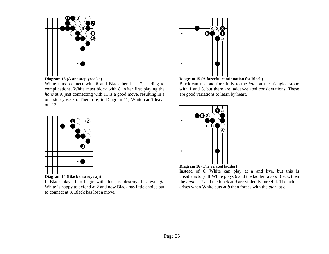![](_page_30_Figure_0.jpeg)

![](_page_30_Figure_1.jpeg)

![](_page_30_Figure_2.jpeg)

out 13.

If Black plays 1 to begin with this just destroys his own *aji*. White is happy to defend at 2 and now Black has little choice but to connect at 3. Black has lost a move.

![](_page_30_Figure_4.jpeg)

![](_page_30_Figure_5.jpeg)

Black can respond forcefully to the *hane* at the triangled stone with 1 and 3, but there are ladder-related considerations. These are good variations to learn by heart.

![](_page_30_Figure_7.jpeg)

![](_page_30_Figure_8.jpeg)

Instead of 6, White can play at a and live, but this is unsatisfactory. If White plays 6 and the ladder favors Black, then the *hane* at 7 and the block at 9 are violently forceful. The ladder arises when White cuts at *b* then forces with the *atari* at c.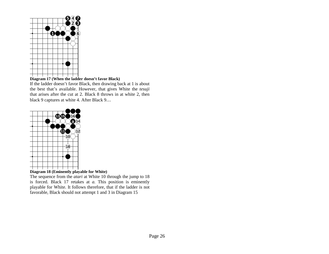![](_page_31_Figure_0.jpeg)

# **Diagram 17 (When the ladder doesn't favor Black)**

If the ladder doesn't favor Black, then drawing back at 1 is about the best that's available. However, that gives White the *tesuji*  that arises after the cut at 2. Black 8 throws in at white 2, then black 9 captures at white 4. After Black 9…

![](_page_31_Figure_3.jpeg)

**Diagram 18 (Eminently playable for White)** 

The sequence from the *atari* at White 10 through the jump to 18 is forced. Black 17 retakes at *a.* This position is eminently playable for White. It follows therefore, that if the ladder is not favorable, Black should not attempt 1 and 3 in Diagram 15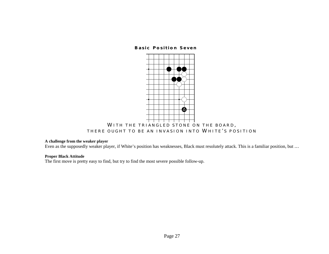# **Basic Position Seven**

![](_page_32_Figure_1.jpeg)

# **WITH THE TRIANGLED STONE ON THE BOARD , THERE OUGHT TO BE AN INVASION INTO WHITE ' S POSITION**

# **A challenge from the weaker player**

Even as the supposedly weaker player, if White's position has weaknesses, Black must resolutely attack. This is a familiar position, but …

#### **Proper Black Attitude**

The first move is pretty easy to find, but try to find the most severe possible follow-up.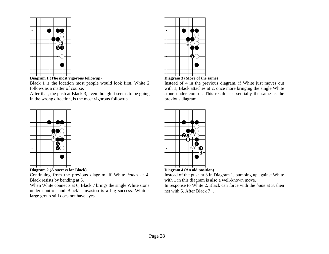![](_page_33_Figure_0.jpeg)

![](_page_33_Figure_1.jpeg)

Black 1 is the location most people would look first. White 2 follows as a matter of course.

After that, the push at Black 3, even though it seems to be going in the wrong direction, is the most vigorous followup.

![](_page_33_Figure_4.jpeg)

# **Diagram 2 (A success for Black)**

Continuing from the previous diagram, if White *hane*s at 4, Black resists by bending at 5.

When White connects at 6, Black 7 brings the single White stone under control, and Black's invasion is a big success. White's large group still does not have eyes.

![](_page_33_Figure_8.jpeg)

# **Diagram 3 (More of the same)**

Instead of 4 in the previous diagram, if White just moves out with 1, Black attaches at 2, once more bringing the single White stone under control. This result is essentially the same as the previous diagram.

![](_page_33_Picture_11.jpeg)

# **Diagram 4 (An old position)**

Instead of the push at 3 in Diagram 1, bumping up against White with 1 in this diagram is also a well-known move.

In response to White 2, Black can force with the *hane* at 3, then net with 5. After Black 7 …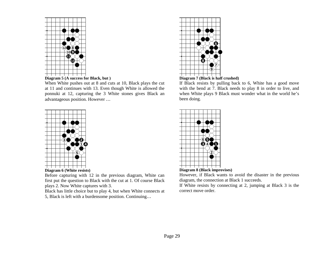![](_page_34_Figure_0.jpeg)

**Diagram 5 (A success for Black, but )** 

When White pushes out at 8 and cuts at 10, Black plays the cut at 11 and continues with 13. Even though White is allowed the ponnuki at 12, capturing the 3 White stones gives Black an advantageous position. However …

![](_page_34_Figure_3.jpeg)

![](_page_34_Figure_4.jpeg)

Before capturing with 12 in the previous diagram, White can first put the question to Black with the cut at 1. Of course Black plays 2. Now White captures with 3.

Black has little choice but to play 4, but when White connects at 5, Black is left with a burdensome position. Continuing…

![](_page_34_Figure_7.jpeg)

# **Diagram 7 (Black is half crushed)**

If Black resists by pulling back to 6, White has a good move with the bend at 7. Black needs to play 8 in order to live, and when White plays 9 Black must wonder what in the world he's been doing.

![](_page_34_Picture_10.jpeg)

**Diagram 8 (Black improvises)** 

However, if Black wants to avoid the disaster in the previous diagram, the connection at Black 1 succeeds.

If White resists by connecting at 2, jumping at Black 3 is the correct move order.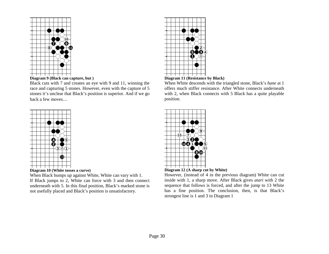![](_page_35_Figure_0.jpeg)

![](_page_35_Figure_1.jpeg)

Black cuts with 7 and creates an eye with 9 and 11, winning the race and capturing 5 stones. However, even with the capture of 5 stones it's unclear that Black's position is superior. And if we go back a few moves…

![](_page_35_Figure_3.jpeg)

**Diagram 10 (White tosses a curve)** 

When Black bumps up against White, White can vary with 1. If Black jumps to 2, White can force with 3 and then connect underneath with 5. In this final position, Black's marked stone is not usefully placed and Black's position is unsatisfactory.

![](_page_35_Figure_6.jpeg)

![](_page_35_Figure_7.jpeg)

When White descends with the triangled stone, Black's *hane* at 1 offers much stiffer resistance. After White connects underneath with 2, when Black connects with 5 Black has a quite playable position.

![](_page_35_Figure_9.jpeg)

**Diagram 12 (A sharp cut by White)** 

However, (instead of 4 in the previous diagram) White can cut inside with 1, a sharp move. After Black gives *atari* with 2 the sequence that follows is forced, and after the jump to 13 White has a fine position. The conclusion, then, is that Black's strongest line is 1 and 3 in Diagram 1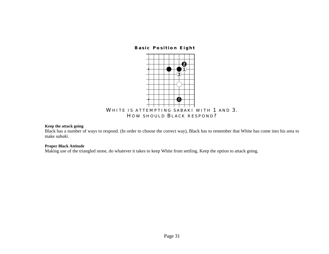**Basic Position Eight** 



## **Keep the attack going**

Black has a number of ways to respond. (In order to choose the correct way), Black has to remember that White has come into his area to make *sabaki*.

### **Proper Black Attitude**

Making use of the triangled stone, do whatever it takes to keep White from settling. Keep the option to attack going.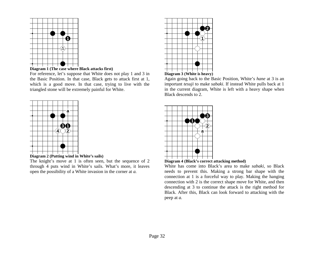



For reference, let's suppose that White does not play 1 and 3 in the Basic Position. In that case, Black gets to attack first at 1, which is a good move. In that case, trying to live with the triangled stone will be extremely painful for White.





The knight's move at 1 is often seen, but the sequence of 2 through 4 puts wind in White's sails. What's more, it leaves open the possibility of a White invasion in the corner at *a.*



## **Diagram 3 (White is heavy)**

Again going back to the Basic Position, White's *hane* at 3 is an important *tesuji* to make *sabaki*. If instead White pulls back at 1 in the current diagram, White is left with a heavy shape when Black descends to 2.





White has come into Black's area to make *sabaki*, so Black needs to prevent this. Making a strong bar shape with the connection at 1 is a forceful way to play. Making the hanging connection with 2 is the correct shape move for White, and then descending at 3 to continue the attack is the right method for Black. After this, Black can look forward to attacking with the peep at *a.*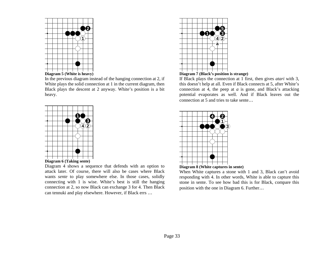



In the previous diagram instead of the hanging connection at 2, if White plays the solid connection at 1 in the current diagram, then Black plays the descent at 2 anyway. White's position is a bit heavy.





Diagram 4 shows a sequence that defends with an option to attack later. Of course, there will also be cases where Black wants *sente* to play somewhere else. In those cases, solidly connecting with 1 is wise. White's best is still the hanging connection at 2, so now Black can exchange 3 for 4. Then Black can tennuki and play elsewhere. However, if Black errs …



# **Diagram 7 (Black's position is strange)**

If Black plays the connection at 1 first, then gives *atari* with 3, this doesn't help at all. Even if Black connects at 5, after White's connection at 4, the peep at *a* is gone, and Black's attacking potential evaporates as well. And if Black leaves out the connection at 5 and tries to take sente…





When White captures a stone with 1 and 3, Black can't avoid responding with 4. In other words, White is able to capture this stone in sente. To see how bad this is for Black, compare this position with the one in Diagram 6. Further…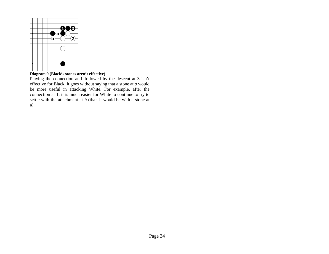

**Diagram 9 (Black's stones aren't effective)** 

Playing the connection at 1 followed by the descent at 3 isn't effective for Black. It goes without saying that a stone at *a* would be more useful in attacking White. For example, after the connection at 1, it is much easier for White to continue to try to settle with the attachment at *b* (than it would be with a stone at a).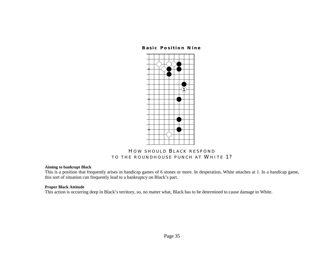# **Basic Position Nine**



# **H OW SHOULD B LACK RESPOND TO THE ROUNDHOUSE PUNCH AT WHITE 1?**

# **Aiming to bankrupt Black**

This is a position that frequently arises in handicap games of 6 stones or more. In desperation, White attaches at 1. In a handicap game, this sort of situation can frequently lead to a bankruptcy on Black's part.

## **Proper Black Attitude**

This action is occurring deep in Black's territory, so, no matter what, Black has to be determined to cause damage to White.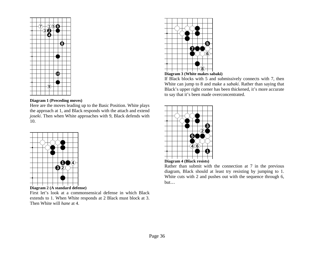

## **Diagram 1 (Preceding moves)**

Here are the moves leading up to the Basic Position. White plays the approach at 1, and Black responds with the attach and extend *joseki*. Then when White approaches with 9, Black defends with 10.



**Diagram 2 (A standard defense)** 

First let's look at a commonsensical defense in which Black extends to 1. When White responds at 2 Black must block at 3. Then White will *hane* at 4.



**Diagram 3 (White makes sabaki)** 

If Black blocks with 5 and submissively connects with 7, then White can jump to 8 and make a *sabaki*. Rather than saying that Black's upper right corner has been thickened, it's more accurate to say that it's been made overconcentrated.





Rather than submit with the connection at 7 in the previous diagram, Black should at least try resisting by jumping to 1. White cuts with 2 and pushes out with the sequence through 6, but…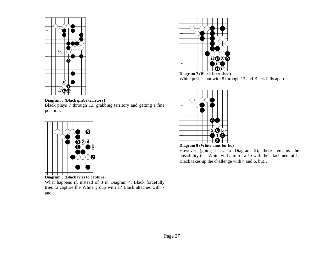

# **Diagram 5 (Black grabs territory)**

Black plays 7 through 13, grabbing territory and getting a fine position.



What happens if, instead of 3 in Diagram 4, Black forcefully tries to capture the White group with 1? Black attaches with 7 and…



 **Diagram 7 (Black is crushed)**  White pushes out with 8 through 13 and Black falls apart.



**Diagram 8 (White aims for ko)** 

However (going back to Diagram 2), there remains the possibility that White will aim for a *ko* with the attachment at 1. Black takes up the challenge with 4 and 6, but…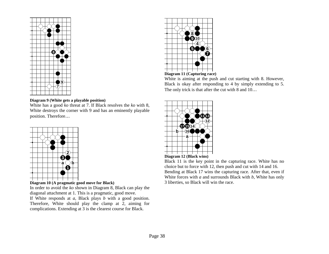

# **89510467**

# **Diagram 11 (Capturing race)**

White is aiming at the push and cut starting with 8. However, Black is okay after responding to 4 by simply extending to 5. The only trick is that after the cut with 8 and 10...

# **Diagram 9 (White gets a playable position)**

White has a good *ko* threat at 7. If Black resolves the *ko* with 8, White destroys the corner with 9 and has an eminently playable position. Therefore…



**Diagram 10 (A pragmatic good move for Black)** 

In order to avoid the *ko* shown in Diagram 8, Black can play the diagonal attachment at 1. This is a pragmatic, good move. If White responds at *a,* Black plays *b* with a good position. Therefore, White should play the clamp at 2, aiming for complications. Extending at 3 is the clearest course for Black.





Black 11 is the key point in the capturing race. White has no choice but to force with 12, then push and cut with 14 and 16. Bending at Black 17 wins the capturing race. After that, even if White forces with *a* and surrounds Black with *b*, White has only 3 liberties, so Black will win the race.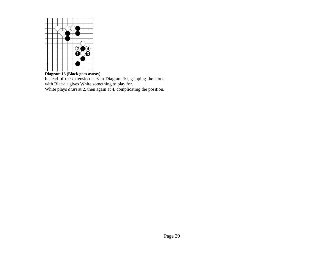

**Diagram 13 (Black goes astray)**  Instead of the extension at 3 in Diagram 10, gripping the stone with Black 1 gives White something to play for. White plays *atari* at 2, then again at 4, complicating the position.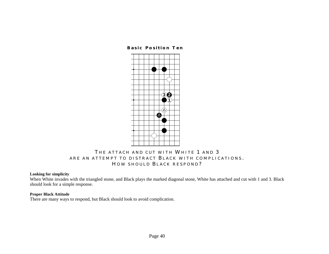**Basic Position Ten** 



# **T HE ATTACH AND CUT WITH WHITE 1 AND 3 ARE AN ATTEMPT TO DISTRACT B LACK WITH COMPLICATIONS . H OW SHOULD B LACK RESPOND ?**

# **Looking for simplicity**

When White invades with the triangled stone, and Black plays the marked diagonal stone, White has attached and cut with 1 and 3. Black should look for a simple response.

# **Proper Black Attitude**

There are many ways to respond, but Black should look to avoid complication.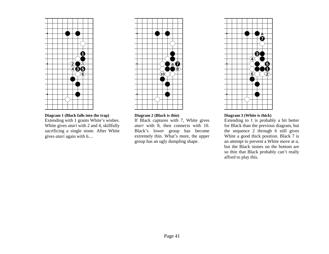

**Diagram 1 (Black falls into the trap)**  Extending with 1 grants White's wishes. White gives *atari* with 2 and 4, skillfully sacrificing a single stone. After White gives *atari* again with 6…



#### **Diagram 2 (Black is thin)**

If Black captures with 7, White gives *atari* with 8, then connects with 10. Black's lower group has become extremely thin. What's more, the upper group has an ugly dumpling shape.



## **Diagram 3 (White is thick)**

Extending to 1 is probably a bit better for Black than the previous diagram, but the sequence 2 through 6 still gives White a good thick position. Black 7 is an attempt to prevent a White move at *a,* but the Black stones on the bottom are so thin that Black probably can't really afford to play this.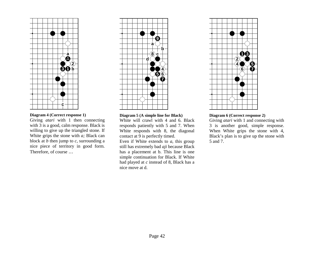

# **Diagram 4 (Correct response 1)**

Giving *atari* with 1 then connecting with 3 is a good, calm response. Black is willing to give up the triangled stone. If White grips the stone with *a;* Black can block at  $\overrightarrow{b}$  then jump to  $\overrightarrow{c}$ , surrounding a nice piece of territory in good form. Therefore, of course …



#### **Diagram 5 (A simple line for Black)**

White will crawl with 4 and 6. Black responds patiently with 5 and 7. When White responds with 8, the diagonal contact at  $\overline{9}$  is perfectly timed. Even if White extends to *a,* this group still has extremely bad *aji* because Black

has a placement at b. This line is one simple continuation for Black. If White had played at *c* instead of 8, Black has a nice move at d.



## **Diagram 6 (Correct response 2)**

Giving *atari* with 1 and connecting with 3 is another good, simple response. When White grips the stone with 4, Black's plan is to give up the stone with 5 and 7.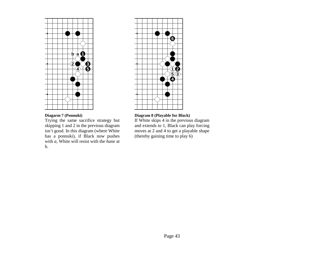

# **Diagarm 7 (Ponnuki)**

Trying the same sacrifice strategy but skipping 1 and 2 in the previous diagram isn't good. In this diagram (where White has a ponnuki), if Black now pushes with *a,* White will resist with the *hane* at b.



# **Diagram 8 (Playable for Black)**

If White skips 4 in the previous diagram and extends to 1, Black can play forcing moves at 2 and 4 to get a playable shape (thereby gaining time to play 6)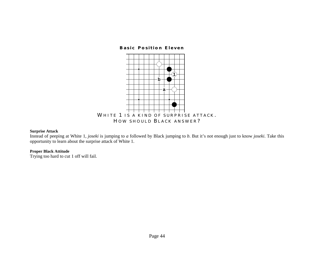### **Basic Position Eleven**



## **Surprise Attack**

Instead of peeping at White 1, *joseki* is jumping to *a* followed by Black jumping to *b*. But it's not enough just to know *joseki*. Take this opportunity to learn about the surprise attack of White 1.

# **Proper Black Attitude**

Trying too hard to cut 1 off will fail.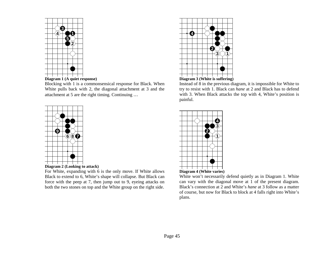



Blocking with 1 is a commonsensical response for Black. When White pulls back with 2, the diagonal attachment at 3 and the attachment at 5 are the right timing. Continuing …





For White, expanding with 6 is the only move. If White allows Black to extend to 6, White's shape will collapse. But Black can force with the peep at 7, then jump out to 9, eyeing attacks on both the two stones on top and the White group on the right side.





Instead of 8 in the previous diagram, it is impossible for White to try to resist with 1. Black can *hane* at 2 and Black has to defend with 3. When Black attacks the top with 4, White's position is painful.



White won't necessarily defend quietly as in Diagram 1. White can vary with the diagonal move at 1 of the present diagram. Black's connection at 2 and White's *hane* at 3 follow as a matter of course, but now for Black to block at 4 falls right into White's plans.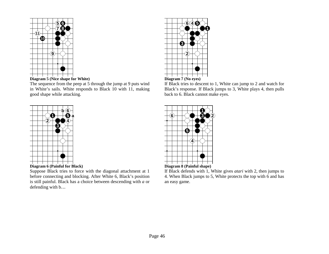



The sequence from the peep at 5 through the jump at 9 puts wind in White's sails. White responds to Black 10 with 11, making good shape while attacking.





Suppose Black tries to force with the diagonal attachment at 1 before connecting and blocking. After White 6, Black's position is still painful. Black has a choice between descending with *a* or defending with b…





If Black tries to descent to 1, White can jump to 2 and watch for Black's response. If Black jumps to 3, White plays 4, then pulls back to 6. Black cannot make eyes.





If Black defends with 1, White gives *atari* with 2, then jumps to 4. When Black jumps to 5, White protects the top with 6 and has an easy game.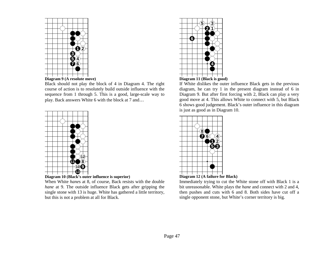



Black should not play the block of 4 in Diagram 4. The right course of action is to resolutely build outside influence with the sequence from 1 through 5. This is a good, large-scale way to play. Back answers White 6 with the block at 7 and…



**Diagram 10 (Black's outer influence is superior)** 

When White *hane*s at 8, of course, Back resists with the double *hane* at 9. The outside influence Black gets after gripping the single stone with 13 is huge. White has gathered a little territory, but this is not a problem at all for Black.





If White dislikes the outer influence Black gets in the previous diagram, he can try 1 in the present diagram instead of 6 in Diagram 9. But after first forcing with 2, Black can play a very good move at 4. This allows White to connect with 5, but Black 6 shows good judgement. Black's outer influence in this diagram is just as good as in Diagram 10.



**Diagram 12 (A failure for Black)** 

Immediately trying to cut the White stone off with Black 1 is a bit unreasonable. White plays the *hane* and connect with 2 and 4, then pushes and cuts with 6 and 8. Both sides have cut off a single opponent stone, but White's corner territory is big.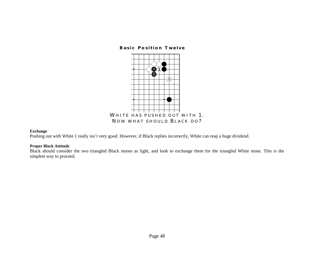## **Basic Position Twelve**



## **Exchange**

Pushing out with White 1 really isn't very good. However, if Black replies incorrectly, White can reap a huge dividend.

# **Proper Black Attitude**

Black should consider the two triangled Black stones as light, and look to exchange them for the triangled White stone. This is the simplest way to proceed.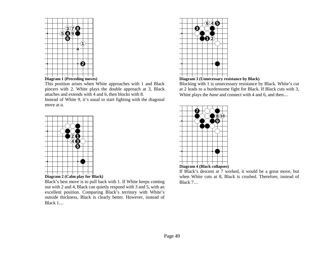

This position arises when White approaches with 1 and Black pincers with 2. White plays the double approach at 3, Black

attaches and extends with 4 and 6, then blocks with 8. Instead of White 9, it's usual to start fighting with the diagonal move at *a.*



Black's best move is to pull back with 1. If White keeps coming out with 2 and 4, Black can quietly respond with 3 and 5, with an excellent position. Comparing Black's territory with White's outside thickness, Black is clearly better. However, instead of Black 1…





Blocking with 1 is unnecessary resistance by Black. White's cut at 2 leads to a burdensome fight for Black. If Black cuts with 3, White plays the *hane* and connect with 4 and 6, and then…



If Black's descent at 7 worked, it would be a great move, but when White cuts at 8, Black is crushed. Therefore, instead of Black 7…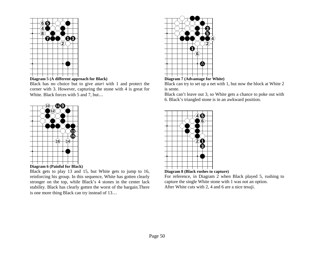



Black has no choice but to give *atari* with 1 and protect the corner with 3. However, capturing the stone with 4 is great for White. Black forces with 5 and 7, but...





Black gets to play 13 and 15, but White gets to jump to 16, reinforcing his group. In this sequence, White has gotten clearly stronger on the top, while Black's 4 stones in the center lack stability. Black has clearly gotten the worst of the bargain.There is one more thing Black can try instead of 13…





Black can try to set up a net with 1, but now the block at White 2 is sente.

Black can't leave out 3, so White gets a chance to poke out with 6. Black's triangled stone is in an awkward position.



**Diagram 8 (Black rushes to capture)** 

For reference, in Diagram  $2$  when Black played 5, rushing to capture the single White stone with 1 was not an option. After White cuts with 2, 4 and 6 are a nice tesuji.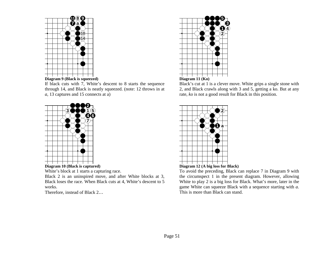

If black cuts with 7, White's descent to 8 starts the sequence through 14, and Black is neatly squeezed. (note: 12 throws in at *a,* 13 captures and 15 connects at a)



White's block at 1 starts a capturing race.

Black 2 is an uninspired move, and after White blocks at 3, Black loses the race. When Black cuts at 4, White's descent to 5 works.

Therefore, instead of Black 2…



Black's cut at 1 is a clever move. White grips a single stone with 2, and Black crawls along with 3 and 5, getting a ko. But at any rate, *ko* is not a good result for Black in this position.





To avoid the preceding, Black can replace 7 in Diagram 9 with the circumspect 1 in the present diagram. However, allowing White to play 2 is a big loss for Black. What's more, later in the game White can squeeze Black with a sequence starting with *a.* This is more than Black can stand.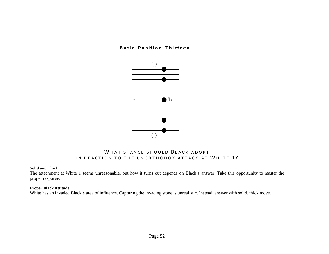# **Basic Position Thirteen**



# **WHAT STANCE SHOULD B LACK ADOPT IN REACTION TO THE UNORTHODOX ATTACK AT WHITE 1?**

### **Solid and Thick**

The attachment at White 1 seems unreasonable, but how it turns out depends on Black's answer. Take this opportunity to master the proper response.

## **Proper Black Attitude**

White has an invaded Black's area of influence. Capturing the invading stone is unrealistic. Instead, answer with solid, thick move.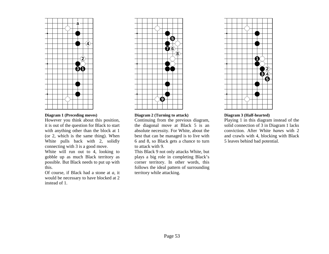

#### **Diagram 1 (Preceding moves)**

However you think about this position, it is out of the question for Black to start with anything other than the block at 1 (or 2, which is the same thing). When White pulls back with 2, solidly connecting with 3 is a good move.

White will run out to 4, looking to gobble up as much Black territory as possible. But Black needs to put up with this.

Of course, if Black had a stone at *a,* it would be necessary to have blocked at 2 instead of 1.



# **Diagram 2 (Turning to attack)**

Continuing from the previous diagram, the diagonal move at Black 5 is an absolute necessity. For White, about the best that can be managed is to live with 6 and 8, so Black gets a chance to turn to attack with 9.

This Black 9 not only attacks White, but plays a big role in completing Black's corner territory. In other words, this follows the ideal pattern of surrounding territory while attacking.



#### **Diagram 3 (Half-hearted)**

Playing 1 in this diagram instead of the solid connection of 3 in Diagram 1 lacks conviction. After White *hane*s with 2 and crawls with 4, blocking with Black 5 leaves behind bad potential.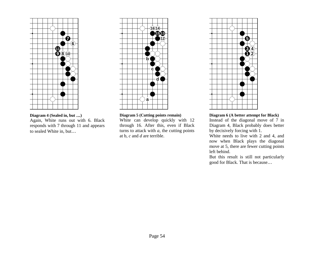

# **Diagram 4 (Sealed in, but** …**)**

Again, White runs out with 6. Black responds with 7 through 11 and appears to sealed White in, but…



# **Diagram 5 (Cutting points remain)**

White can develop quickly with 12 through 16. After this, even if Black turns to attack with *a,* the cutting points at b, *c* and *d* are terrible.



## **Diagram 6 (A better attempt for Black)**

Instead of the diagonal move of 7 in Diagram 4, Black probably does better by decisively forcing with 1.

White needs to live with 2 and 4, and now when Black plays the diagonal move at 5, there are fewer cutting points left behind.

But this result is still not particularly good for Black. That is because…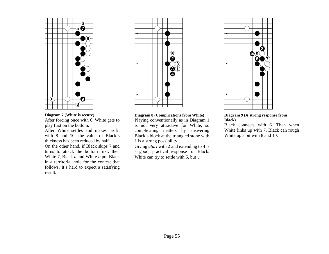

## **Diagram 7 (White is secure)**

After forcing once with 6, White gets to play first on the bottom.

After White settles and makes profit with 8 and 10, the value of Black's thickness has been reduced by half. On the other hand, if Black skips 7 and turns to attack the bottom first, then White 7, Black *a* and White *b* put Black in a territorial hole for the contest that follows. It's hard to expect a satisfying result.



### **Diagram 8 (Complications from White)**

Playing conventionally as in Diagram 1 is not very attractive for White, so complicating matters by answering Black's block at the triangled stone with 1 is a strong possibility.

Giving *atari* with 2 and extending to 4 is a good, practical response for Black. White can try to settle with 5, but...



#### **Diagram 9 (A strong response from Black)**

Black connects with 6. Then when White links up with 7, Black can rough White up a bit with 8 and 10.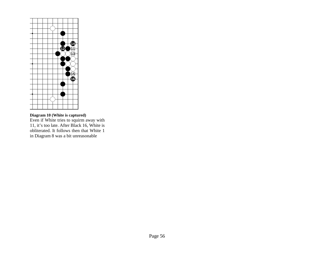

**Diagram 10 (White is captured)**  Even if White tries to squirm away with 11, it's too late. After Black 16, White is obliterated. It follows then that White 1 in Diagram 8 was a bit unreasonable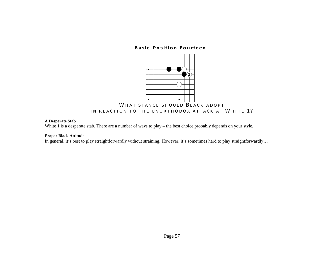# **Basic Position Fourteen**



# **A Desperate Stab**

White 1 is a desperate stab. There are a number of ways to play – the best choice probably depends on your style.

## **Proper Black Attitude**

In general, it's best to play straightforwardly without straining. However, it's sometimes hard to play straightforwardly…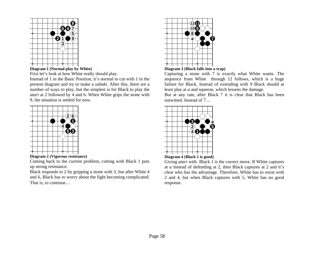

**Diagram 1 (Normal play by White)** 

First let's look at how White really should play.

Instead of 1 in the Basic Position, it's normal to cut with 1 in the present diagram and try to make a *sabaki*. After this, there are a number of ways to play, but the simplest is for Black to play the *atari* at 2 followed by 4 and 6. When White grips the stone with 9, the situation is settled for now.





Coming back to the current problem, cutting with Black 1 puts up strong resistance.

Black responds to 2 by gripping a stone with 3, but after White 4 and 6, Black has to worry about the fight becoming complicated. That is, to continue…



# **Diagram 3 (Black falls into a trap)**

Capturing a stone with 7 is exactly what White wants. The sequence from White through 12 follows, which is a huge failure for Black. Instead of extending with 9 Black should at least play at *a* and squeeze, which lessens the damage.

But at any rate, after Black 7 it is clear that Black has been outwitted. Instead of 7…



Giving *atari* with Black 1 is the correct move. If White captures at *a* instead of defending at 2, then Black captures at 2 and it's clear who has the advantage. Therefore, White has to resist with 2 and 4, but when Black captures with 5, White has no good response.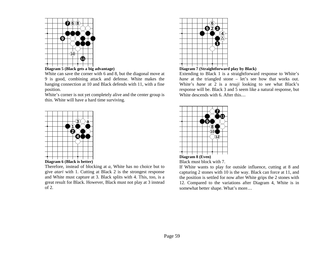



White can save the corner with 6 and 8, but the diagonal move at 9 is good, combining attack and defense. White makes the hanging connection at 10 and Black defends with 11, with a fine position.

White's corner is not yet completely alive and the center group is thin. White will have a hard time surviving.





Therefore, instead of blocking at *a,* White has no choice but to give *atari* with 1. Cutting at Black 2 is the strongest response and White must capture at 3. Black splits with 4. This, too, is a great result for Black. However, Black must not play at 3 instead of 2.



**Diagram 7 (Straightforward play by Black)** 

Extending to Black 1 is a straightforward response to White's *hane* at the triangled stone – let's see how that works out. White's *hane* at 2 is a *tesuji* looking to see what Black's response will be. Black 3 and 5 seem like a natural response, but White descends with 6. After this...





If White wants to play for outside influence, cutting at 8 and capturing 2 stones with 10 is the way. Black can force at 11, and the position is settled for now after White grips the 2 stones with 12. Compared to the variations after Diagram 4, White is in somewhat better shape. What's more…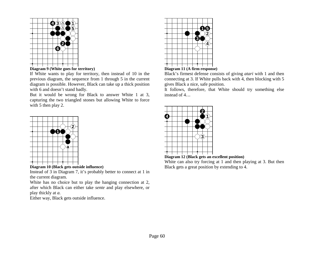



If White wants to play for territory, then instead of 10 in the previous diagram, the sequence from 1 through 5 in the current diagram is possible. However, Black can take up a thick position with 6 and doesn't stand badly.

But it would be wrong for Black to answer White 1 at 3, capturing the two triangled stones but allowing White to force with 5 then play 2.



**Diagram 10 (Black gets outside influence)** 

Instead of 3 in Diagram 7, it's probably better to connect at 1 in the current diagram.

White has no choice but to play the hanging connection at 2, after which Black can either take *sente* and play elsewhere, or play thickly at *a.*

Either way, Black gets outside influence.





Black's firmest defense consists of giving *atari* with 1 and then connecting at 3. If White pulls back with 4, then blocking with 5 gives Black a nice, safe position.

It follows, therefore, that White should try something else instead of 4…



**Diagram 12 (Black gets an excellent position)** 

White can also try forcing at 1 and then playing at 3. But then Black gets a great position by extending to 4.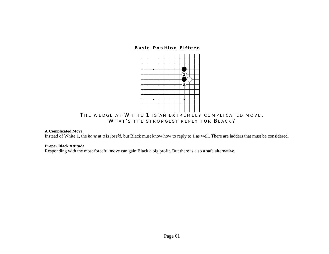# **Basic Position Fifteen**



## **A Complicated Move**

Instead of White 1, the *hane* at *a* is *joseki*, but Black must know how to reply to 1 as well. There are ladders that must be considered.

#### **Proper Black Attitude**

Responding with the most forceful move can gain Black a big profit. But there is also a safe alternative.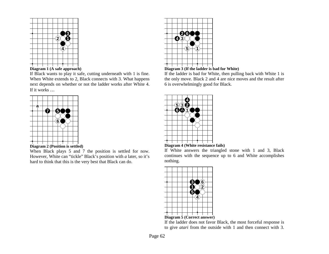



If Black wants to play it safe, cutting underneath with 1 is fine. When White extends to 2, Black connects with 3. What happens next depends on whether or not the ladder works after White 4. If it works …



**Diagram 2 (Position is settled)** 

When Black plays 5 and 7 the position is settled for now. However, White can "tickle" Black's position with *a* later, so it's hard to think that this is the very best that Black can do.



# **Diagram 3 (If the ladder is bad for White)**

If the ladder is bad for White, then pulling back with White 1 is the only move. Black 2 and 4 are nice moves and the result after 6 is overwhelmingly good for Black.

| $-530$ |  |  |
|--------|--|--|
|        |  |  |
|        |  |  |
|        |  |  |

### **Diagram 4 (White resistance fails)**

If White answers the triangled stone with 1 and 3, Black continues with the sequence up to 6 and White accomplishes nothing.



**Diagram 5 (Correct answer)** 

If the ladder does not favor Black, the most forceful response is to give *atari* from the outside with 1 and then connect with 3.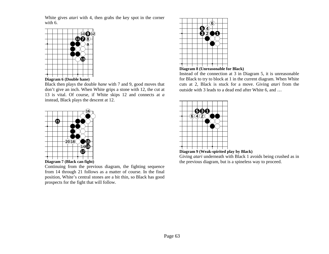White gives *atari* with 4, then grabs the key spot in the corner with 6.



Black then plays the double *hane* with 7 and 9, good moves that don't give an inch. When White grips a stone with 12, the cut at 13 is vital. Of course, if White skips 12 and connects at*<sup>a</sup>* instead, Black plays the descent at 12.





Continuing from the previous diagram, the fighting sequence from 14 through 21 follows as a matter of course. In the final position, White's central stones are a bit thin, so Black has good prospects for the fight that will follow.



# **Diagram 8 (Unreasonable for Black)**

Instead of the connection at 3 in Diagram 5, it is unreasonable for Black to try to block at 1 in the current diagram. When White cuts at 2, Black is stuck for a move. Giving *atari* from the outside with 3 leads to a dead end after White 6, and …



**Diagram 9 (Weak-spirited play by Black)** 

Giving *atari* underneath with Black 1 avoids being crushed as in the previous diagram, but is a spineless way to proceed.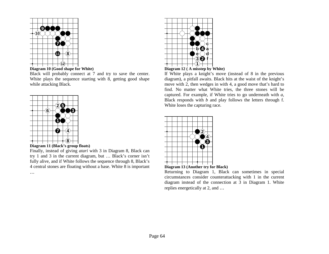



Black will probably connect at 7 and try to save the center. White plays the sequence starting with 8, getting good shape while attacking Black.



…

**Diagram 11 (Black's group floats)** 

Finally, instead of giving *atari* with 3 in Diagram 8, Black can try 1 and 3 in the current diagram, but … Black's corner isn't fully alive, and if White follows the sequence through 8, Black's 4 central stones are floating without a base. White 8 is important





If White plays a knight's move (instead of 8 in the previous diagram), a pitfall awaits. Black hits at the waist of the knight's move with 2, then wedges in with 4, a good move that's hard to find. No matter what White tries, the three stones will be captured. For example, if White tries to go underneath with *a,* Black responds with *b* and play follows the letters through f. White loses the capturing race.

|  |  |  |  | จ |
|--|--|--|--|---|
|  |  |  |  |   |
|  |  |  |  |   |
|  |  |  |  |   |
|  |  |  |  |   |



Returning to Diagram 1, Black can sometimes in special circumstances consider counterattacking with 1 in the current diagram instead of the connection at 3 in Diagram 1. White replies energetically at 2, and …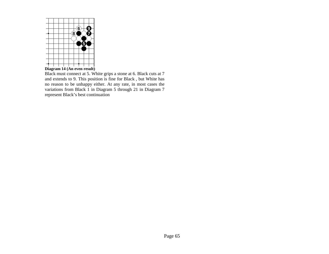

Black must connect at 5. White grips a stone at 6. Black cuts at 7 and extends to 9. This position is fine for Black , but White has no reason to be unhappy either. At any rate, in most cases the variations from Black 1 in Diagram 5 through 21 in Diagram 7 represent Black's best continuation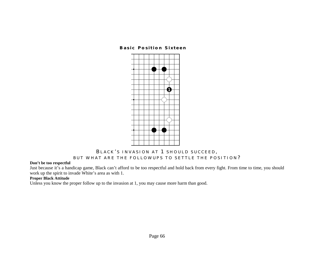# **Basic Position Sixteen**



# **B LACK ' S INVASION AT 1 SHOULD SUCCEED , BUT WHAT ARE THE FOLLOWUPS TO SETTLE THE POSITION ?**

# **Don't be too respectful**

Just because it's a handicap game, Black can't afford to be too respectful and hold back from every fight. From time to time, you should work up the spirit to invade White's area as with 1.

# **Proper Black Attitude**

Unless you know the proper follow up to the invasion at 1, you may cause more harm than good.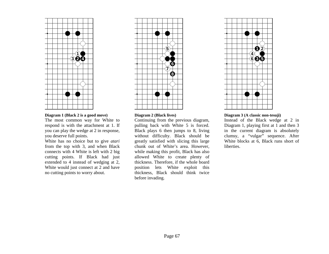

# **Diagram 1 (Black 2 is a good move)**

The most common way for White to respond is with the attachment at 1. If you can play the wedge at 2 in response, you deserve full points.

White has no choice but to give *atari* from the top with 3, and when Black connects with 4 White is left with 2 big cutting points. If Black had just extended to 4 instead of wedging at 2, White would just connect at 2 and have no cutting points to worry about.



#### **Diagram 2 (Black lives)**

Continuing from the previous diagram, pulling back with White 5 is forced. Black plays 6 then jumps to 8, living without difficulty. Black should be greatly satisfied with slicing this large chunk out of White's area. However, while making this profit, Black has also allowed White to create plenty of thickness. Therefore, if the whole board position lets White exploit this thickness, Black should think twice before invading.



#### **Diagram 3 (A classic non-tesuji)**

Instead of the Black wedge at 2 in Diagram 1, playing first at 1 and then 3 in the current diagram is absolutely clumsy, a "vulgar" sequence. After White blocks at 6, Black runs short of **liberties**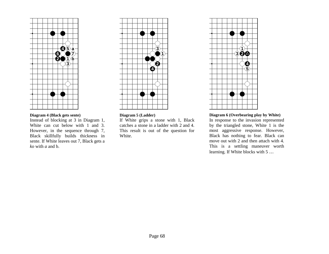

# **Diagram 4 (Black gets sente)**

Instead of blocking at 3 in Diagram 1, White can cut below with 1 and 3. However, in the sequence through 7, Black skillfully builds thickness in sente. If White leaves out 7, Black gets a *ko* with *a* and b.



# **Diagram 5 (Ladder)**

If White grips a stone with 1, Black catches a stone in a ladder with 2 and 4. This result is out of the question for White.



# **Diagram 6 (Overbearing play by White)**

In response to the invasion represented by the triangled stone, White 1 is the most aggressive response. However, Black has nothing to fear. Black can move out with 2 and then attach with 4. This is a settling maneuver worth learning. If White blocks with 5 …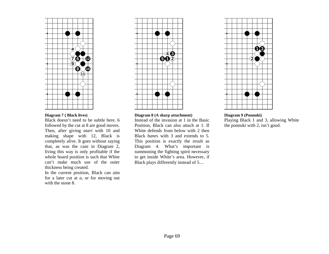

## **Diagram 7 ( Black lives)**

Black doesn't need to be subtle here. 6 followed by the cut at 8 are good moves. Then, after giving *atari* with 10 and making shape with 12, Black is completely alive. It goes without saying that, as was the case in Diagram 2, living this way is only profitable if the whole board position is such that White can't make much use of the outer thickness being created.

In the current position, Black can aim for a later cut at *a,* or for moving out with the stone 8.



#### **Diagram 8 (A sharp attachment)**

Instead of the invasion at 1 in the Basic Position, Black can also attach at 1. If White defends from below with 2 then Black *hane*s with 3 and extends to 5. This position is exactly the result as Diagram 4. What's important is summoning the fighting spirit necessary to get inside White's area. However, if Black plays differently instead of 5…



## **Diagram 9 (Ponnuki)**  Playing Black 1 and 3, allowing White the ponnuki with 2, isn't good.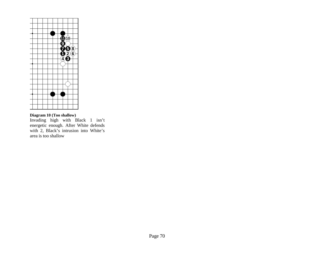

# **Diagram 10 (Too shallow)**

Invading high with Black 1 isn't energetic enough. After White defends with 2, Black's intrusion into White's area is too shallow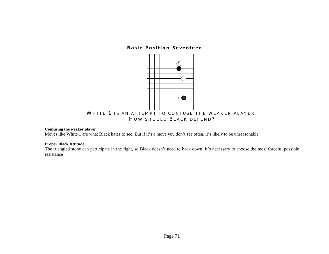**Basic Position Seventeen** 



## **Confusing the weaker player**

Moves like White 1 are what Black hates to see. But if it's a move you don't see often, it's likely to be unreasonable.

# **Proper Black Attitude**

The triangled stone can participate in the fight, so Black doesn't need to back down. It's necessary to choose the most forceful possible resistance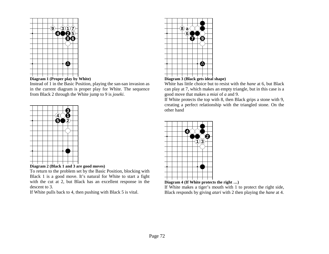



Instead of 1 in the Basic Position, playing the san-san invasion as in the current diagram is proper play for White. The sequence from Black 2 through the White jump to 9 is *joseki*.





To return to the problem set by the Basic Position, blocking with Black 1 is a good move. It's natural for White to start a fight with the cut at 2, but Black has an excellent response in the descent to 3.

If White pulls back to 4, then pushing with Black 5 is vital.



# **Diagram 3 (Black gets ideal shape)**

White has little choice but to resist with the *hane* at 6, but Black can play at 7, which makes an empty triangle, but in this case is a good move that makes a *miai* of *a* and 9.

If White protects the top with 8, then Black grips a stone with 9, creating a perfect relationship with the triangled stone. On the other hand



**Diagram 4 (If White protects the right** …**)** 

If White makes a tiger's mouth with 1 to protect the right side, Black responds by giving *atari* with 2 then playing the *hane* at 4.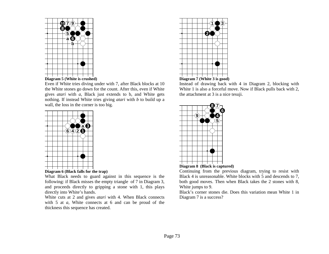



Even if White tries diving under with 7, after Black blocks at 10 the White stones go down for the count. After this, even if White gives *atari* with *a,* Black just extends to b, and White gets nothing. If instead White tries giving *atari* with *b* to build up a wall, the loss in the corner is too big.





What Black needs to guard against in this sequence is the following: if Black misses the empty triangle of 7 in Diagram 3, and proceeds directly to gripping a stone with 1, this plays directly into White's hands.

White cuts at 2 and gives *atari* with 4. When Black connects with 5 at *a,* White connects at 6 and can be proud of the thickness this sequence has created.





Instead of drawing back with 4 in Diagram 2, blocking with White 1 is also a forceful move. Now if Black pulls back with 2, the attachment at 3 is a nice tesuji.





Continuing from the previous diagram, trying to resist with Black 4 is unreasonable. White blocks with 5 and descends to 7, both good moves. Then when Black takes the 2 stones with 8, White jumps to 9.

Black's corner stones die. Does this variation mean White 1 in Diagram 7 is a success?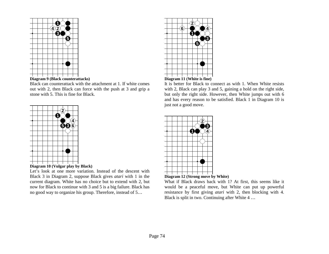



Black can counterattack with the attachment at 1. If white comes out with 2, then Black can force with the push at 3 and grip a stone with 5. This is fine for Black.





Let's look at one more variation. Instead of the descent with Black 3 in Diagram 2, suppose Black gives *atari* with 1 in the current diagram. White has no choice but to extend with 2, but now for Black to continue with 3 and 5 is a big failure. Black has no good way to organize his group. Therefore, instead of 5…





It is better for Black to connect as with 1. When White resists with 2, Black can play 3 and 5, gaining a hold on the right side, but only the right side. However, then White jumps out with 6 and has every reason to be satisfied. Black 1 in Diagram 10 is just not a good move.





What if Black draws back with 1? At first, this seems like it would be a peaceful move, but White can put up powerful resistance by first giving *atari* with 2, then blocking with 4. Black is split in two. Continuing after White 4 …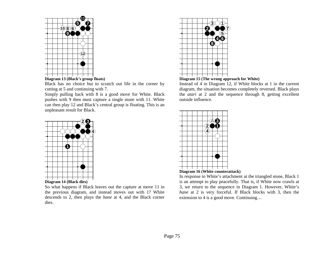



Black has no choice but to scratch out life in the corner by cutting at 5 and continuing with 7.

Simply pulling back with 8 is a good move for White. Black pushes with 9 then must capture a single stone with 11. White can then play 12 and Black's central group is floating. This is an unpleasant result for Black.



So what happens if Black leaves out the capture at move 11 in the previous diagram, and instead moves out with 1? White descends to 2, then plays the *hane* at 4, and the Black corner dies.



**Diagram 15 (The wrong approach for White)** 

Instead of 4 in Diagram 12, if White blocks at 1 in the current diagram, the situation becomes completely reversed. Black plays the *atari* at 2 and the sequence through 8, getting excellent outside influence.



**Diagram 16 (White counterattack)** 

In response to White's attachment at the triangled stone, Black 1 is an attempt to play peacefully. That is, if White now crawls at 3, we return to the sequence in Diagram 1. However, White's *hane* at 2 is very forceful. If Black blocks with 3, then the extension to 4 is a good move. Continuing…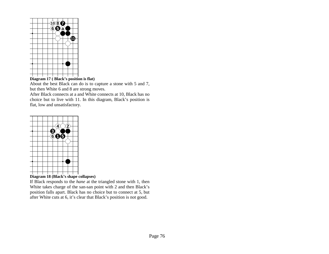

# **Diagram 17 ( Black's position is flat)**

About the best Black can do is to capture a stone with 5 and 7, but then White 6 and 8 are strong moves.

After Black connects at a and White connects at 10, Black has no choice but to live with 11. In this diagram, Black's position is flat, low and unsatisfactory.



**Diagram 18 (Black's shape collapses)** 

If Black responds to the *hane* at the triangled stone with 1, then White takes charge of the san-san point with 2 and then Black's position falls apart. Black has no choice but to connect at 5, but after White cuts at 6, it's clear that Black's position is not good.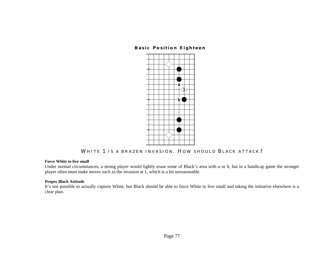# **Basic Position Eighteen**



**WHITE 1 IS A BRAZEN INVASION . H OW SHOULD B LACK ATTACK ?** 

## **Force White to live small**

Under normal circumstances, a strong player would lightly erase some of Black's area with *a* or *b*, but in a handicap game the stronger player often must make moves such as the invasion at 1, which is a bit unreasonable.

# **Proper Black Attitude**

It's not possible to actually capture White, but Black should be able to force White to live small and taking the initiative elsewhere is a clear plan.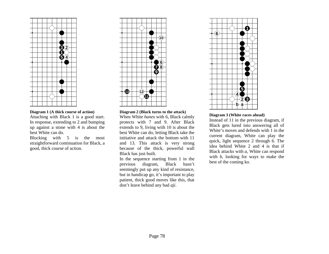

**Diagram 1 (A thick course of action)** 

Attaching with Black 1 is a good start. In response, extending to 2 and bumping up against a stone with 4 is about the best White can do.

Blocking with 5 is the most straightforward continuation for Black, a good, thick course of action.



#### **Diagram 2 (Black turns to the attack)**

When White *hane*s with 6, Black calmly protects with 7 and 9. After Black extends to 9, living with 10 is about the best White can do, letting Black take the initiative and attack the bottom with 11 and 13. This attack is very strong because of the thick, powerful wall Black has just built.

In the sequence starting from 1 in the previous diagram, Black hasn't seemingly put up any kind of resistance, but in handicap go, it's important to play patient, thick good moves like this, that don't leave behind any bad *aji*.



# **Diagram 3 (White races ahead)**

Instead of 11 in the previous diagram, if Black gets lured into answering all of White's moves and defends with 1 in the current diagram, White can play the quick, light sequence 2 through 6. The idea behind White 2 and 4 is that if Black attacks with *a,* White can respond with *b*, looking for ways to make the best of the coming ko.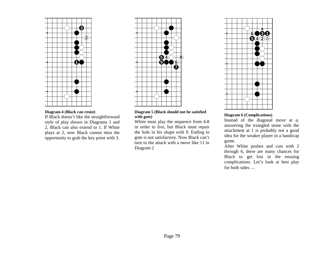

#### **Diagram 4 (Black can resist)**

If Black doesn't like the straightforward style of play shown in Diagrams 1 and 2, Black can also extend to 1. If White plays at 2, now Black cannot miss the opportunity to grab the key point with 3.



#### **Diagram 5 (Black should not be satisfied with gote)**

White must play the sequence from 4-8 in order to live, but Black must repair the hole in his shape with 9. Ending in gote is not satisfactory. Now Black can't turn to the attack with a move like 11 in Diagram 2



# **Diagram 6 (Complications)**

Instead of the diagonal move at *a,* answering the triangled stone with the attachment at 1 is probably not a good idea for the weaker player in a handicap game.

After White pushes and cuts with 2 through 6, there are many chances for Black to get lost in the ensuing complications. Let's look at best play for both sides …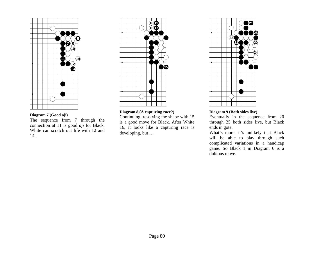

# **Diagram 7 (Good aji)**

The sequence from 7 through the connection at 11 is good *aji* for Black. White can scratch out life with 12 and 14.



# **Diagram 8 (A capturing race?)**

Continuing, resolving the shape with 15 is a good move for Black. After White 16, it looks like a capturing race is developing, but …



# **Diagram 9 (Both sides live)**

Eventually in the sequence from 20 through 25 both sides live, but Black ends in gote.

What's more, it's unlikely that Black will be able to play through such complicated variations in a handicap game. So Black 1 in Diagram 6 is a dubious move.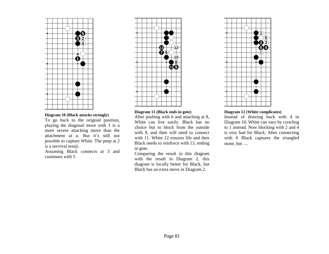

# **Diagram 10 (Black attacks strongly)**

To go back to the original position, playing the diagonal move with 1 is a more severe attacking move than the attachment at *a.* But it's still not possible to capture White. The peep at 2 is a survival tesuji.

Assuming Black connects at 3 and continues with 5



## **Diagram 11 (Black ends in gote)**

After pushing with 6 and attaching at 8, White can live easily. Black has no choice but to block from the outside with 9, and then will need to connect with 11. White 12 ensures life and then Black needs to reinforce with 13, ending in gote.

Comparing the result in this diagram with the result in Diagram 2, this diagram is locally better for Black, but Black has an extra move in Diagram 2.



#### **Diagram 12 (White complicates)**

Instead of drawing back with 4 in Diagram 10, White can vary by crawling to 1 instead. Now blocking with 2 and 4 is very bad for Black. After connecting with 6 Black captures the triangled stone, but …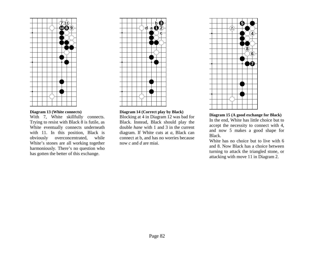

## **Diagram 13 (White connects)**

With 7, White skillfully connects. Trying to resist with Black 8 is futile, as White eventually connects underneath with 11. In this position, Black is obviously overconcentrated, while White's stones are all working together harmoniously. There's no question who has gotten the better of this exchange.



# **Diagram 14 (Correct play by Black)**

Blocking at 4 in Diagram 12 was bad for Black. Instead, Black should play the double *hane* with 1 and 3 in the current diagram. If White cuts at *a,* Black can connect at b, and has no worries because now *c* and *d* are miai.



# **Diagram 15 (A good exchange for Black)**  In the end, White has little choice but to accept the necessity to connect with 4, and now 5 makes a good shape for Black.

White has no choice but to live with 6 and 8. Now Black has a choice between turning to attack the triangled stone, or attacking with move 11 in Diagram 2.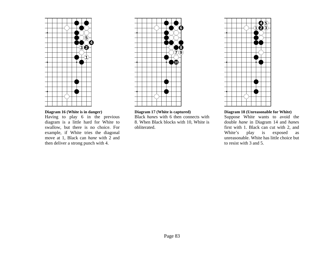

#### **Diagram 16 (White is in danger)**

Having to play 6 in the previous diagram is a little hard for White to swallow, but there is no choice. For example, if White tries the diagonal move at 1, Black can *hane* with 2 and then deliver a strong punch with 4.



## **Diagram 17 (White is captured)**

Black *hane*s with 6 then connects with 8. When Black blocks with 10, White is obliterated.



## **Diagram 18 (Unreasonable for White)**

Suppose White wants to avoid the double *hane* in Diagram 14 and *hane*<sup>s</sup> first with 1. Black can cut with 2, and White's play is exposed as unreasonable. White has little choice but to resist with 3 and 5.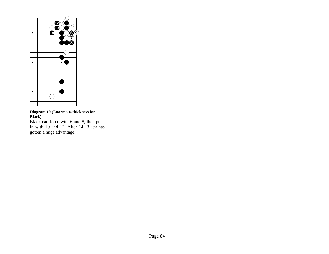

# **Diagram 19 (Enormous thickness for Black)**

Black can force with 6 and 8, then push in with 10 and 12. After 14, Black has gotten a huge advantage.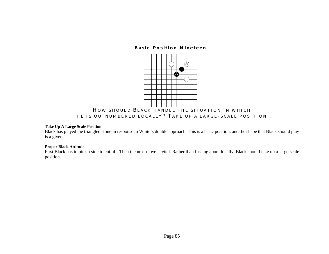# **Basic Position Nineteen**



# **Take Up A Large Scale Position**

Black has played the triangled stone in response to White's double approach. This is a basic position, and the shape that Black should play is a given.

#### **Proper Black Attitude**

First Black has to pick a side to cut off. Then the next move is vital. Rather than fussing about locally, Black should take up a large-scale position.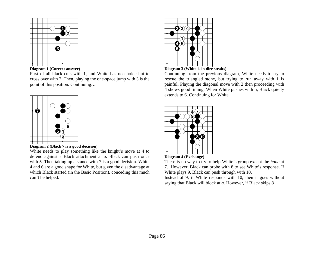

**Diagram 1 (Correct answer)** 

First of all black cuts with 1, and White has no choice but to cross over with 2. Then, playing the one-space jump with 3 is the point of this position. Continuing…



**Diagram 2 (Black 7 is a good decision)** 

White needs to play something like the knight's move at 4 to defend against a Black attachment at *a.* Black can push once with 5. Then taking up a stance with 7 is a good decision. White 4 and 6 are a good shape for White, but given the disadvantage at which Black started (in the Basic Position), conceding this much can't be helped.



**Diagram 3 (White is in dire straits)** 

Continuing from the previous diagram, White needs to try to rescue the triangled stone, but trying to run away with 1 is painful. Playing the diagonal move with 2 then proceeding with 4 shows good timing. When White pushes with 5, Black quietly extends to 6. Continuing for White…



**Diagram 4 (Exchange)** 

There is no way to try to help White's group except the *hane* at 7. However, Black can probe with 8 to see White's response. If White plays 9, Black can push through with 10.

Instead of 9, if White responds with 10, then it goes without saying that Black will block at *a.* However, if Black skips 8…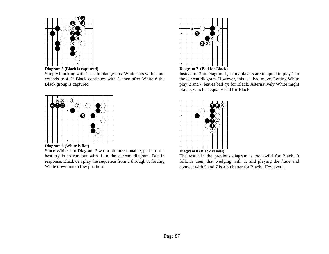



Simply blocking with 1 is a bit dangerous. White cuts with 2 and extends to 4. If Black continues with 5, then after White 8 the Black group is captured.



**Diagram 6 (White is flat)** 

Since White 1 in Diagram 3 was a bit unreasonable, perhaps the best try is to run out with 1 in the current diagram. But in response, Black can play the sequence from 2 through 8, forcing White down into a low position.



Instead of 3 in Diagram 1, many players are tempted to play 1 in the current diagram. However, this is a bad move. Letting White play 2 and 4 leaves bad *aji* for Black. Alternatively White might play *a,* which is equally bad for Black.



The result in the previous diagram is too awful for Black. It follows then, that wedging with 1, and playing the *hane* and connect with 5 and 7 is a bit better for Black. However…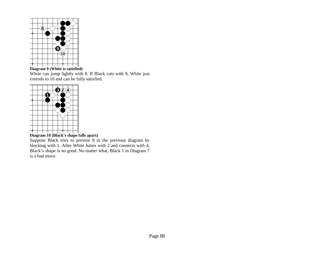

**Diagram 9 (White is satisfied)** 

White can jump lightly with 8. If Black cuts with 9, White just extends to 10 and can be fully satisfied.



**Diagram 10 (Black's shape falls apart)** 

Suppose Black tries to prevent 8 in the previous diagram by blocking with 1. After White *hane*s with 2 and connects with 4, Black's shape is no good. No matter what, Black 1 in Diagram 7 is a bad move.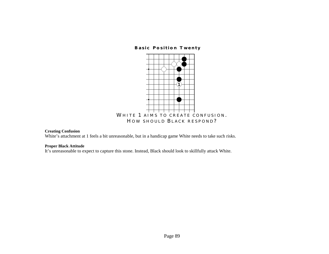# **Basic Position Twenty**



# **Creating Confusion**

White's attachment at 1 feels a bit unreasonable, but in a handicap game White needs to take such risks.

#### **Proper Black Attitude**

It's unreasonable to expect to capture this stone. Instead, Black should look to skillfully attack White.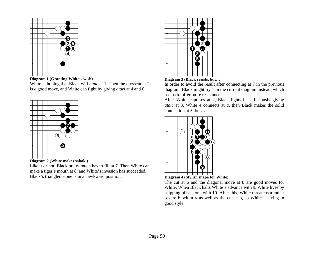



White is hoping that Black will *hane* at 1. Then the crosscut at 2 is *a* good move, and White can fight by giving *atari* at 4 and 6.





Like it or not, Black pretty much has to fill at 7. Then White can make a tiger's mouth at 8, and White's invasion has succeeded. Black's triangled stone is in an awkward position.





In order to avoid the result after connecting at 7 in the previous diagram, Black might try 1 in the current diagram instead, which seems to offer more resistance.

After White captures at 2, Black fights back furiously giving *atari* at 3. White 4 connects at *a,* then Black makes the solid connection at 5, but…



**Diagram 4 (Stylish shape for White)** 

The cut at 6 and the diagonal move at 8 are good moves for White. When Black halts White's advance with 9, White lives by snipping off a stone with 10. After this, White threatens a rather severe block at *a* as well as the cut at b, so White is living in good style.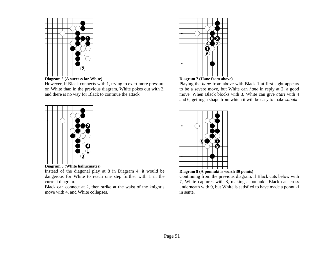



However, if Black connects with 1, trying to exert more pressure on White than in the previous diagram, White pokes out with 2, and there is no way for Black to continue the attack.



Instead of the diagonal play at 8 in Diagram 4, it would be dangerous for White to reach one step further with 1 in the current diagram.

Black can connect at 2, then strike at the waist of the knight's move with 4, and White collapses.



**Diagram 7 (Hane from above)** 

Playing the *hane* from above with Black 1 at first sight appears to be a severe move, but White can *hane* in reply at 2, a good move. When Black blocks with 3, White can give *atari* with 4 and 6, getting a shape from which it will be easy to make *sabaki*.



**Diagram 8 (A ponnuki is worth 30 points)** 

Continuing from the previous diagram, if Black cuts below with 7, White captures with 8, making a ponnuki. Black can cross underneath with 9, but White is satisfied to have made a ponnuki in sente.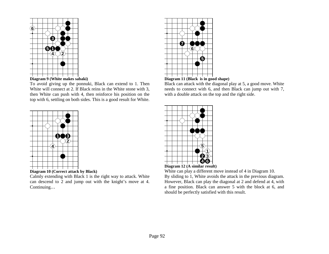



To avoid giving up the ponnuki, Black can extend to 1. Then White will connect at 2. If Black reins in the White stone with 3, then White can push with 4, then reinforce his position on the top with 6, settling on both sides. This is a good result for White.



**Diagram 10 (Correct attack by Black)** 

Calmly extending with Black 1 is the right way to attack. White can descend to 2 and jump out with the knight's move at 4. Continuing…





Black can attack with the diagonal play at 5, a good move. White needs to connect with 6, and then Black can jump out with 7, with a double attack on the top and the right side.





White can play a different move instead of 4 in Diagram 10. By sliding to 1, White avoids the attack in the previous diagram. However, Black can play the diagonal at 2 and defend at 4, with a fine position. Black can answer 5 with the block at 6, and should be perfectly satisfied with this result.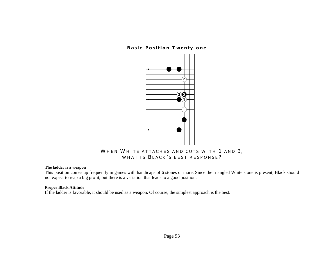# **Basic Position Twenty-one**



# **WHEN WHITE ATTACHES AND CUTS WITH 1 AND 3, WHAT IS B LACK ' S BEST RESPONSE ?**

# **The ladder is a weapon**

This position comes up frequently in games with handicaps of 6 stones or more. Since the triangled White stone is present, Black should not expect to reap a big profit, but there is a variation that leads to a good position.

## **Proper Black Attitude**

If the ladder is favorable, it should be used as a weapon. Of course, the simplest approach is the best.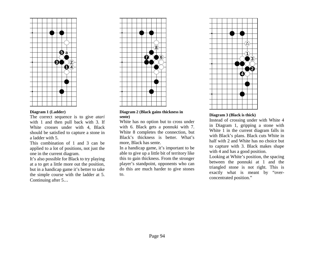

#### **Diagram 1 (Ladder)**

The correct sequence is to give *atari* with 1 and then pull back with 3. If White crosses under with 4, Black should be satisfied to capture a stone in a ladder with 5.

This combination of 1 and 3 can be applied to a lot of positions, not just the one in the current diagram.

It's also possible for Black to try playing at a to get a little more out the position, but in a handicap game it's better to take the simple course with the ladder at 5. Continuing after 5…



#### **Diagram 2 (Black gains thickness in sente)**

White has no option but to cross under with 6. Black gets a ponnuki with 7. White 8 completes the connection, but Black's thickness is better. What's more, Black has sente.

In a handicap game, it's important to be able to give up a little bit of territory like this to gain thickness. From the stronger player's standpoint, opponents who can do this are much harder to give stones to.



# **Diagram 3 (Black is thick)**

Instead of crossing under with White 4 in Diagram 1, gripping a stone with White 1 in the current diagram falls in with Black's plans. Black cuts White in half with 2 and White has no choice but to capture with 3. Black makes shape with 4 and has a good position.

Looking at White's position, the spacing between the ponnuki at 1 and the triangled stone is not right. This is exactly what is meant by "overconcentrated position."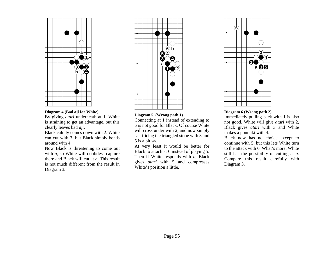

#### **Diagram 4 (Bad aji for White)**

By giving *atari* underneath at 1, White is straining to get an advantage, but this clearly leaves bad *aji*.

Black calmly comes down with 2. White can cut with 3, but Black simply bends around with 4.

Now Black is threatening to come out with *a*, so White will doubtless capture there and Black will cut at *b*. This result is not much different from the result in Diagram 3.



## **Diagram 5 (Wrong path 1)**

Connecting at 1 instead of extending to *<sup>a</sup>*is not good for Black. Of course White will cross under with 2, and now simply sacrificing the triangled stone with 3 and 5 is a bit sad.

At very least it would be better for Black to attach at 6 instead of playing 5. Then if White responds with *b*, Black gives *atari* with 5 and compresses White's position a little.



## **Diagram 6 (Wrong path 2)**

Immediately pulling back with 1 is also not good. White will give *atari* with 2, Black gives *atari* with 3 and White makes a ponnuki with 4.

Black now has no choice except to continue with 5, but this lets White turn to the attack with 6. What's more, White still has the possibility of cutting at *a.* Compare this result carefully with Diagram 3.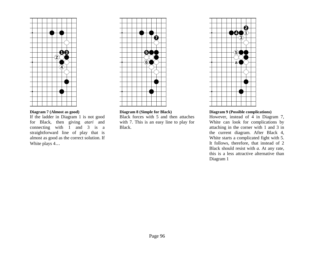

## **Diagram 7 (Almost as good)**

If the ladder in Diagram 1 is not good for Black, then giving *atari* and connecting with 1 and 3 is a straightforward line of play that is almost as good as the correct solution. If White plays 4…



#### **Diagram 8 (Simple for Black)**

Black forces with 5 and then attaches with 7. This is an easy line to play for Black.



## **Diagram 9 (Possible complications)**

However, instead of 4 in Diagram 7, White can look for complications by attaching in the corner with 1 and 3 in the current diagram. After Black 4, White starts a complicated fight with 5. It follows, therefore, that instead of 2 Black should resist with *a.* At any rate, this is a less attractive alternative than Diagram 1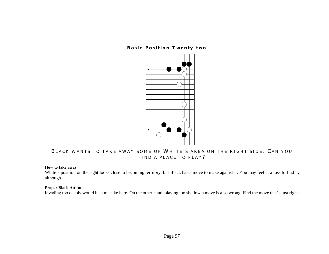# **Basic Position Twenty-two**



# **B LACK WANTS TO TAKE AWAY SOME OF WHITE ' S AREA ON THE RIGHT SIDE . C AN YOU FIND A PLACE TO PLAY ?**

## **How to take away**

White's position on the right looks close to becoming territory, but Black has a move to make against it. You may feel at a loss to find it, although …

## **Proper Black Attitude**

Invading too deeply would be a mistake here. On the other hand, playing too shallow a move is also wrong. Find the move that's just right.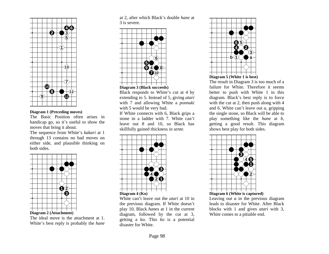

#### **Diagram 1 (Preceding moves)**

The Basic Position often arises in handicap go, so it's useful to show the moves that bring it about.

The sequence from White's *kakari* at 1 through 13 contains no bad moves on either side, and plausible thinking on both sides.



#### **Diagram 2 (Attachment)**

The ideal move is the attachment at 1. White's best reply is probably the *hane* at 2, after which Black's double *hane* at 3 is severe.



Black responds to White's cut at 4 by extending to 5. Instead of 5, giving *atari* with 7 and allowing White a *ponnuki* with 5 would be very bad.

If White connects with 6, Black grips a stone in a ladder with 7. White can't leave out 8 and 10, so Black has skillfully gained thickness in *sente*.



White can't leave out the *atari* at 10 in the previous diagram. If White doesn't play 10, Black *hane*s at 1 in the current diagram, followed by the cut at 3, getting a ko. This *ko* is a potential disaster for White.





The result in Diagram 3 is too much of a failure for White. Therefore it seems better to push with White 1 in this diagram. Black's best reply is to force with the cut at 2, then push along with 4 and 6. White can't leave out *a,* gripping the single stone, so Black will be able to play something like the *hane* at *b*, getting a good result. This diagram shows best play for both sides.



Leaving out *a* in the previous diagram leads to disaster for White. After Black blocks with 1 and gives *atari* with 3, White comes to a pitiable end.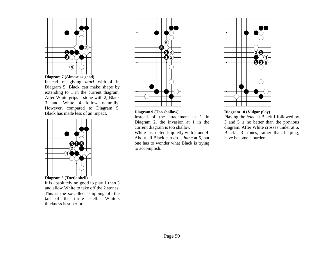

**Diagram 7 (Almost as good)** 

Instead of giving *atari* with 4 in Diagram 5, Black can make shape by extending to 1 in the current diagram. After White grips a stone with 2, Black 3 and White 4 follow naturally. However, compared to Diagram 5, Black has made less of an impact.



It is absolutely no good to play 1 then 3 and allow White to take off the 2 stones. This is the so-called "snipping off the tail of the turtle shell." White's thickness is superior.



#### **Diagram 9 (Too shallow)**

Instead of the attachment at 1 in Diagram 2, the invasion at 1 in the current diagram is too shallow.

White just defends quietly with 2 and 4. About all Black can do is *hane* at 5, but one has to wonder what Black is trying to accomplish.



#### **Diagram 10 (Vulgar play)**

Playing the *hane* at Black 1 followed by 3 and 5 is no better than the previous diagram. After White crosses under at 6, Black's 3 stones, rather than helping, have become a burden.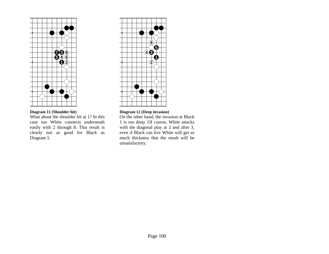

# **Diagram 11 (Shoulder hit)**

What about the shoulder hit at 1? In this case too White connects underneath easily with 2 through 8. This result is clearly not as good for Black as Diagram 5.



# **Diagram 12 (Deep invasion)**

On the other hand, the invasion at Black 1 is too deep. Of course, White attacks with the diagonal play at 2 and after 3, even if Black can live White will get so much thickness that the result will be unsatisfactory.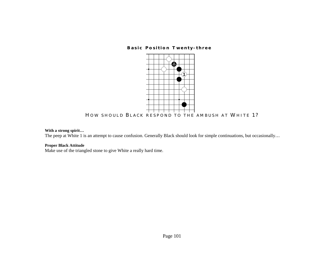**Basic Position Twenty-three** 



**H OW SHOULD B LACK RESPOND TO THE AMBUSH AT WHITE 1?** 

# **With a strong spirit**…

The peep at White 1 is an attempt to cause confusion. Generally Black should look for simple continuations, but occasionally...

# **Proper Black Attitude**

Make use of the triangled stone to give White a really hard time.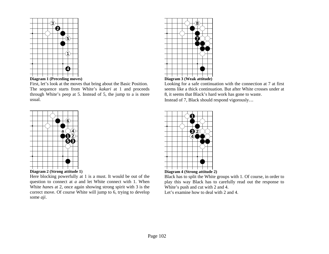



First, let's look at the moves that bring about the Basic Position. The sequence starts from White's *kakari* at 1 and proceeds through White's peep at 5. Instead of 5, the jump to a is more usual.



Here blocking powerfully at 1 is a must. It would be out of the question to connect at *a* and let White connect with 1. When White *hane*s at 2, once again showing strong spirit with 3 is the correct move. Of course White will jump to 6, trying to develop some *aji*.





Looking for a safe continuation with the connection at 7 at first seems like a thick continuation. But after White crosses under at 8, it seems that Black's hard work has gone to waste. Instead of 7, Black should respond vigorously…



Black has to split the White groups with 1. Of course, in order to play this way Black has to carefully read out the response to White's push and cut with 2 and 4. Let's examine how to deal with 2 and 4.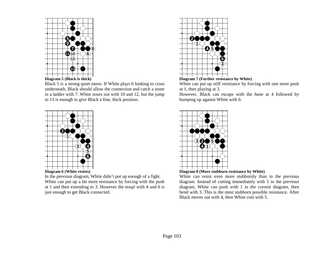

Black 5 is a strong quiet move. If White plays 6 looking to cross underneath, Black should allow the connection and catch a stone in a ladder with 7. White noses out with 10 and 12, but the jump to 13 is enough to give Black a fine, thick position.



In the previous diagram, White didn't put up enough of a fight. White can put up a bit more resistance by forcing with the push at 1 and then extending to 3. However the *tesuji* with 4 and 6 is just enough to get Black connected.



**Diagram 7 (Further resistance by White)** 

White can put up stiff resistance by forcing with one more push at 1, then playing at 3.

However, Black can escape with the *hane* at 4 followed by bumping up against White with 6.



**Diagram 8 (More stubborn resistance by White)** 

White can resist even more stubbornly than in the previous diagram. Instead of cutting immediately with 5 in the previous diagram, White can push with 1 in the current diagram, then bend with 3. This is the most stubborn possible resistance. After Black moves out with 4, then White cuts with 5.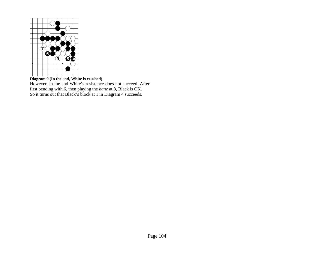

#### **Diagram 9 (In the end, White is crushed)**

However, in the end White's resistance does not succeed. After first bending with 6, then playing the *hane* at 8, Black is OK. So it turns out that Black's block at 1 in Diagram 4 succeeds.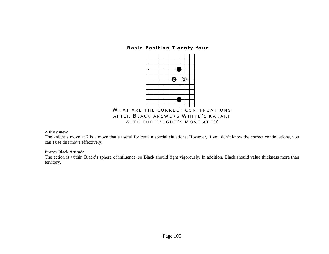**Basic Position Twenty-four** 



#### **A thick move**

The knight's move at 2 is a move that's useful for certain special situations. However, if you don't know the correct continuations, you can't use this move effectively.

## **Proper Black Attitude**

The action is within Black's sphere of influence, so Black should fight vigorously. In addition, Black should value thickness more than territory.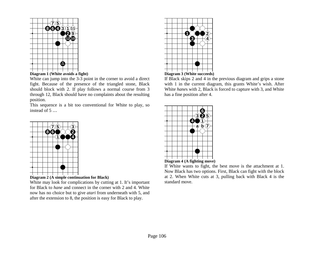



White can jump into the 3-3 point in the corner to avoid a direct fight. Because of the presence of the triangled stone, Black should block with 2. If play follows a normal course from 3 through 12, Black should have no complaints about the resulting position.

This sequence is a bit too conventional for White to play, so instead of 5 …



**Diagram 2 (A simple continuation for Black)** 

White may look for complications by cutting at 1. It's important for Black to *hane* and connect in the corner with 2 and 4. White now has no choice but to give *atari* from underneath with 5, and after the extension to 8, the position is easy for Black to play.



## **Diagram 3 (White succeeds)**

If Black skips 2 and 4 in the previous diagram and grips a stone with 1 in the current diagram, this grants White's wish. After White *hane*s with 2, Black is forced to capture with 3, and White has a fine position after 4.

|  |  |  | $\frac{1}{3}$ 0 | $\left( 5\right)$ |  |
|--|--|--|-----------------|-------------------|--|
|  |  |  |                 |                   |  |
|  |  |  |                 |                   |  |
|  |  |  |                 |                   |  |
|  |  |  |                 |                   |  |
|  |  |  |                 |                   |  |
|  |  |  |                 |                   |  |
|  |  |  |                 |                   |  |
|  |  |  |                 |                   |  |



If White wants to fight, the best move is the attachment at 1. Now Black has two options. First, Black can fight with the block at 2. When White cuts at 3, pulling back with Black 4 is the standard move.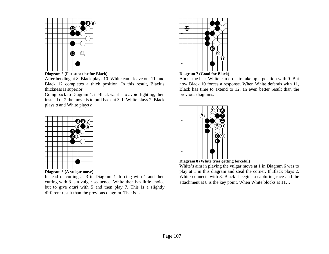

## **Diagram 5 (Far superior for Black)**

After bending at 8, Black plays 10. White can't leave out 11, and Black 12 completes a thick position. In this result, Black's thickness is superior.

Going back to Diagram 4, if Black want's to avoid fighting, then instead of 2 the move is to pull back at 3. If White plays 2, Black plays *a* and White plays *b*.



Instead of cutting at 3 in Diagram 4, forcing with 1 and then cutting with 3 is a vulgar sequence. White then has little choice but to give *atari* with 5 and then play 7. This is a slightly different result than the previous diagram. That is …



## **Diagram 7 (Good for Black)**

About the best White can do is to take up a position with 9. But now Black 10 forces a response. When White defends with 11, Black has time to extend to 12, an even better result than the previous diagrams.





White's aim in playing the vulgar move at 1 in Diagram 6 was to play at 1 in this diagram and steal the corner. If Black plays 2, White connects with 3. Black 4 begins a capturing race and the attachment at 8 is the key point. When White blocks at 11…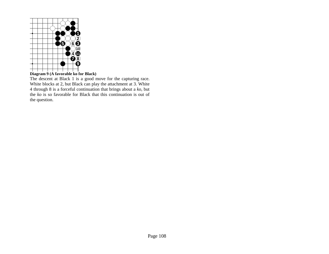

**Diagram 9 (A favorable ko for Black)** 

The descent at Black 1 is a good move for the capturing race. White blocks at 2, but Black can play the attachment at 3. White 4 through 8 is a forceful continuation that brings about a *ko*, but the *ko* is so favorable for Black that this continuation is out of the question.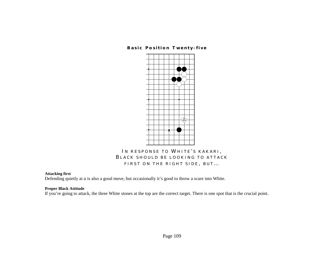**Basic Position Twenty-five** 



# **I N RESPONSE TO WHITE ' S KAKARI , B LACK SHOULD BE LOOKING TO ATTACKFIRST ON THE RIGHT SIDE , BUT** …

## **Attacking first**

Defending quietly at *a* is also a good move, but occasionally it's good to throw a scare into White.

## **Proper Black Attitude**

If you're going to attack, the three White stones at the top are the correct target. There is one spot that is the crucial point.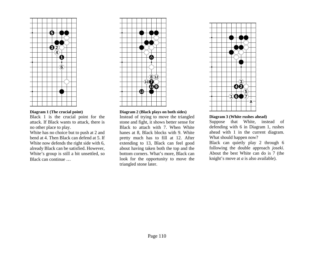

#### **Diagram 1 (The crucial point)**

Black 1 is the crucial point for the attack. If Black wants to attack, there is no other place to play.

White has no choice but to push at 2 and bend at 4. Then Black can defend at 5. If White now defends the right side with 6, already Black can be satisfied. However, White's group is still a bit unsettled, so Black can continue …



#### **Diagram 2 (Black plays on both sides)**

Instead of trying to move the triangled stone and fight, it shows better sense for Black to attach with 7. When White hanes at 8, Black blocks with 9. White pretty much has to fill at 12. After extending to 13, Black can feel good about having taken both the top and the bottom corners. What's more, Black can look for the opportunity to move the triangled stone later.



#### **Diagram 3 (White rushes ahead)**

Suppose that White, instead of defending with 6 in Diagram 1, rushes ahead with 1 in the current diagram. What should happen now?

Black can quietly play 2 through 6 following the double approach *joseki*. About the best White can do is 7 (the knight's move at *a* is also available).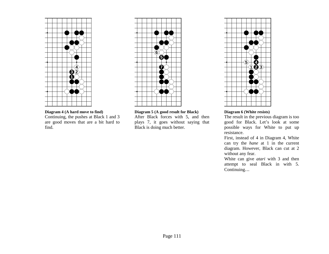

**Diagram 4 (A hard move to find)**  Continuing, the pushes at Black 1 and 3 are good moves that are a bit hard to find.



**Diagram 5 (A good result for Black)** 

After Black forces with 5, and then plays 7, it goes without saying that Black is doing much better.



#### **Diagram 6 (White resists)**

The result in the previous diagram is too good for Black. Let's look at some possible ways for White to put up resistance.

First, instead of 4 in Diagram 4, White can try the *hane* at 1 in the current diagram. However, Black can cut at 2 without any fear.

White can give *atari* with 3 and then attempt to seal Black in with 5. Continuing…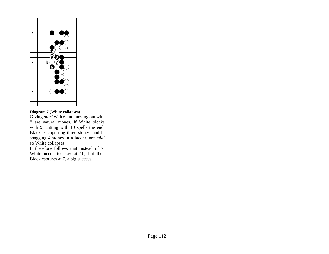

## **Diagram 7 (White collapses)**

Giving *atari* with 6 and moving out with 8 are natural moves. If White blocks with 9, cutting with 10 spells the end. Black *a,* capturing three stones, and b, snagging 4 stones in a ladder, are *miai*  so White collapses.

It therefore follows that instead of 7, White needs to play at 10, but then Black captures at 7, a big success.